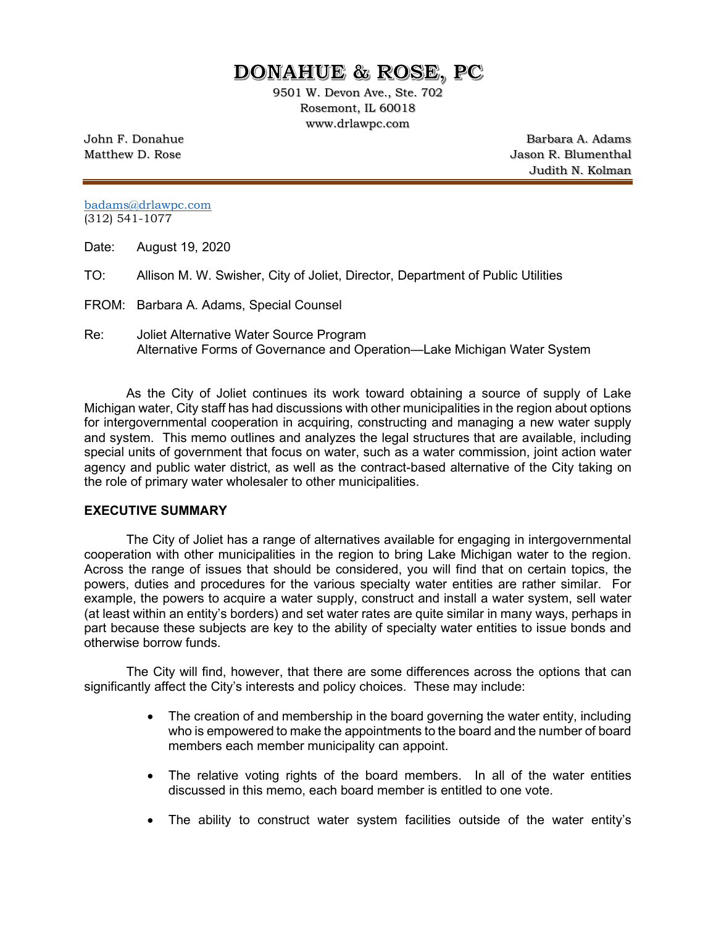# **DONAHUE & ROSE, PC**

9501 W. Devon Ave., Ste. 702 Rosemont, IL 60018 www.drlawpc.com

John F. Donahue Barbara A. Adams Matthew D. Rose **Matthew D. Rose** Jason R. Blumenthal Judith N. Kolman

[badams@drlawpc.com](mailto:badams@drlawpc.com) (312) 541-1077

Date: August 19, 2020

TO: Allison M. W. Swisher, City of Joliet, Director, Department of Public Utilities

FROM: Barbara A. Adams, Special Counsel

Re: Joliet Alternative Water Source Program Alternative Forms of Governance and Operation—Lake Michigan Water System

As the City of Joliet continues its work toward obtaining a source of supply of Lake Michigan water, City staff has had discussions with other municipalities in the region about options for intergovernmental cooperation in acquiring, constructing and managing a new water supply and system. This memo outlines and analyzes the legal structures that are available, including special units of government that focus on water, such as a water commission, joint action water agency and public water district, as well as the contract-based alternative of the City taking on the role of primary water wholesaler to other municipalities.

#### **EXECUTIVE SUMMARY**

The City of Joliet has a range of alternatives available for engaging in intergovernmental cooperation with other municipalities in the region to bring Lake Michigan water to the region. Across the range of issues that should be considered, you will find that on certain topics, the powers, duties and procedures for the various specialty water entities are rather similar. For example, the powers to acquire a water supply, construct and install a water system, sell water (at least within an entity's borders) and set water rates are quite similar in many ways, perhaps in part because these subjects are key to the ability of specialty water entities to issue bonds and otherwise borrow funds.

The City will find, however, that there are some differences across the options that can significantly affect the City's interests and policy choices. These may include:

- The creation of and membership in the board governing the water entity, including who is empowered to make the appointments to the board and the number of board members each member municipality can appoint.
- The relative voting rights of the board members. In all of the water entities discussed in this memo, each board member is entitled to one vote.
- The ability to construct water system facilities outside of the water entity's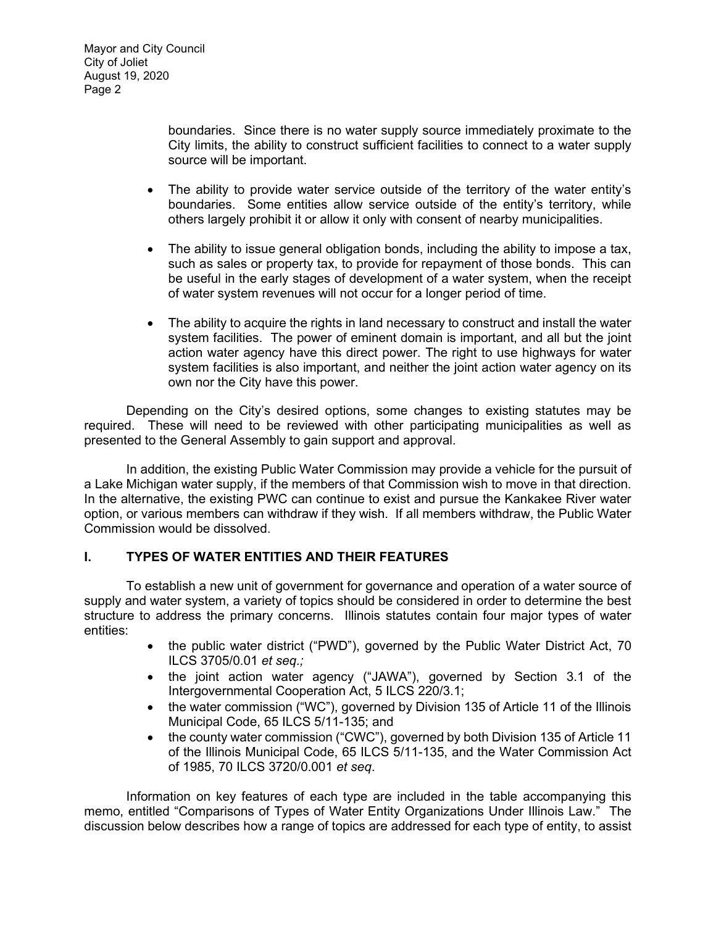boundaries. Since there is no water supply source immediately proximate to the City limits, the ability to construct sufficient facilities to connect to a water supply source will be important.

- The ability to provide water service outside of the territory of the water entity's boundaries. Some entities allow service outside of the entity's territory, while others largely prohibit it or allow it only with consent of nearby municipalities.
- The ability to issue general obligation bonds, including the ability to impose a tax, such as sales or property tax, to provide for repayment of those bonds. This can be useful in the early stages of development of a water system, when the receipt of water system revenues will not occur for a longer period of time.
- The ability to acquire the rights in land necessary to construct and install the water system facilities. The power of eminent domain is important, and all but the joint action water agency have this direct power. The right to use highways for water system facilities is also important, and neither the joint action water agency on its own nor the City have this power.

Depending on the City's desired options, some changes to existing statutes may be required. These will need to be reviewed with other participating municipalities as well as presented to the General Assembly to gain support and approval.

In addition, the existing Public Water Commission may provide a vehicle for the pursuit of a Lake Michigan water supply, if the members of that Commission wish to move in that direction. In the alternative, the existing PWC can continue to exist and pursue the Kankakee River water option, or various members can withdraw if they wish. If all members withdraw, the Public Water Commission would be dissolved.

## **I. TYPES OF WATER ENTITIES AND THEIR FEATURES**

To establish a new unit of government for governance and operation of a water source of supply and water system, a variety of topics should be considered in order to determine the best structure to address the primary concerns. Illinois statutes contain four major types of water entities:

- the public water district ("PWD"), governed by the Public Water District Act, 70 ILCS 3705/0.01 *et seq.;*
- the joint action water agency ("JAWA"), governed by Section 3.1 of the Intergovernmental Cooperation Act, 5 ILCS 220/3.1;
- the water commission ("WC"), governed by Division 135 of Article 11 of the Illinois Municipal Code, 65 ILCS 5/11-135; and
- the county water commission ("CWC"), governed by both Division 135 of Article 11 of the Illinois Municipal Code, 65 ILCS 5/11-135, and the Water Commission Act of 1985, 70 ILCS 3720/0.001 *et seq*.

Information on key features of each type are included in the table accompanying this memo, entitled "Comparisons of Types of Water Entity Organizations Under Illinois Law." The discussion below describes how a range of topics are addressed for each type of entity, to assist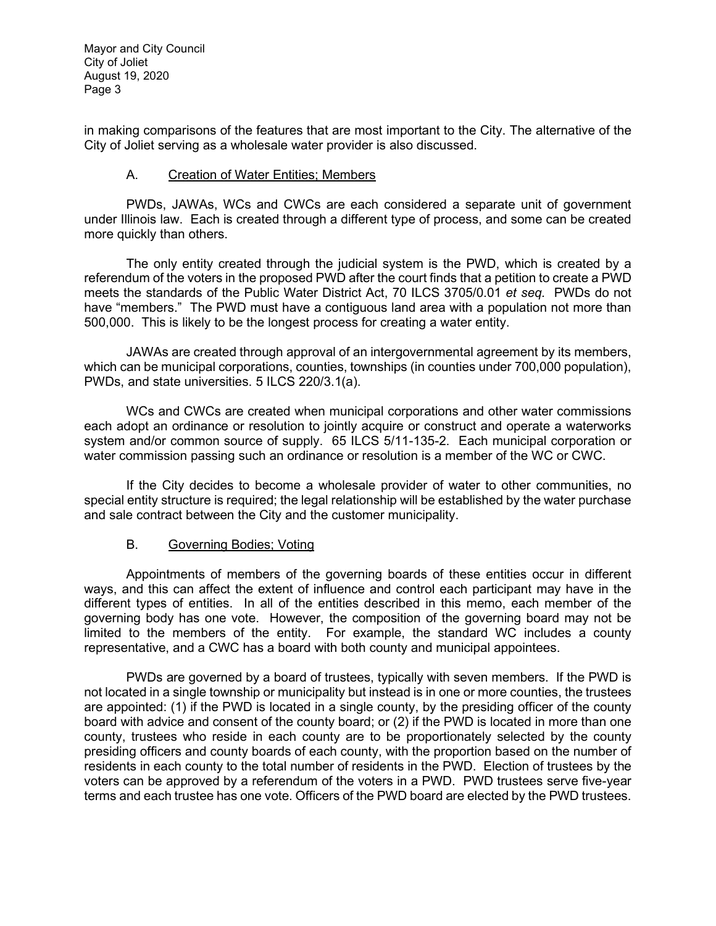in making comparisons of the features that are most important to the City. The alternative of the City of Joliet serving as a wholesale water provider is also discussed.

## A. Creation of Water Entities; Members

PWDs, JAWAs, WCs and CWCs are each considered a separate unit of government under Illinois law. Each is created through a different type of process, and some can be created more quickly than others.

The only entity created through the judicial system is the PWD, which is created by a referendum of the voters in the proposed PWD after the court finds that a petition to create a PWD meets the standards of the Public Water District Act, 70 ILCS 3705/0.01 *et seq.* PWDs do not have "members." The PWD must have a contiguous land area with a population not more than 500,000. This is likely to be the longest process for creating a water entity.

JAWAs are created through approval of an intergovernmental agreement by its members, which can be municipal corporations, counties, townships (in counties under 700,000 population), PWDs, and state universities. 5 ILCS 220/3.1(a).

WCs and CWCs are created when municipal corporations and other water commissions each adopt an ordinance or resolution to jointly acquire or construct and operate a waterworks system and/or common source of supply. 65 ILCS 5/11-135-2. Each municipal corporation or water commission passing such an ordinance or resolution is a member of the WC or CWC.

If the City decides to become a wholesale provider of water to other communities, no special entity structure is required; the legal relationship will be established by the water purchase and sale contract between the City and the customer municipality.

## B. Governing Bodies; Voting

Appointments of members of the governing boards of these entities occur in different ways, and this can affect the extent of influence and control each participant may have in the different types of entities. In all of the entities described in this memo, each member of the governing body has one vote. However, the composition of the governing board may not be limited to the members of the entity. For example, the standard WC includes a county representative, and a CWC has a board with both county and municipal appointees.

PWDs are governed by a board of trustees, typically with seven members. If the PWD is not located in a single township or municipality but instead is in one or more counties, the trustees are appointed: (1) if the PWD is located in a single county, by the presiding officer of the county board with advice and consent of the county board; or (2) if the PWD is located in more than one county, trustees who reside in each county are to be proportionately selected by the county presiding officers and county boards of each county, with the proportion based on the number of residents in each county to the total number of residents in the PWD. Election of trustees by the voters can be approved by a referendum of the voters in a PWD. PWD trustees serve five-year terms and each trustee has one vote. Officers of the PWD board are elected by the PWD trustees.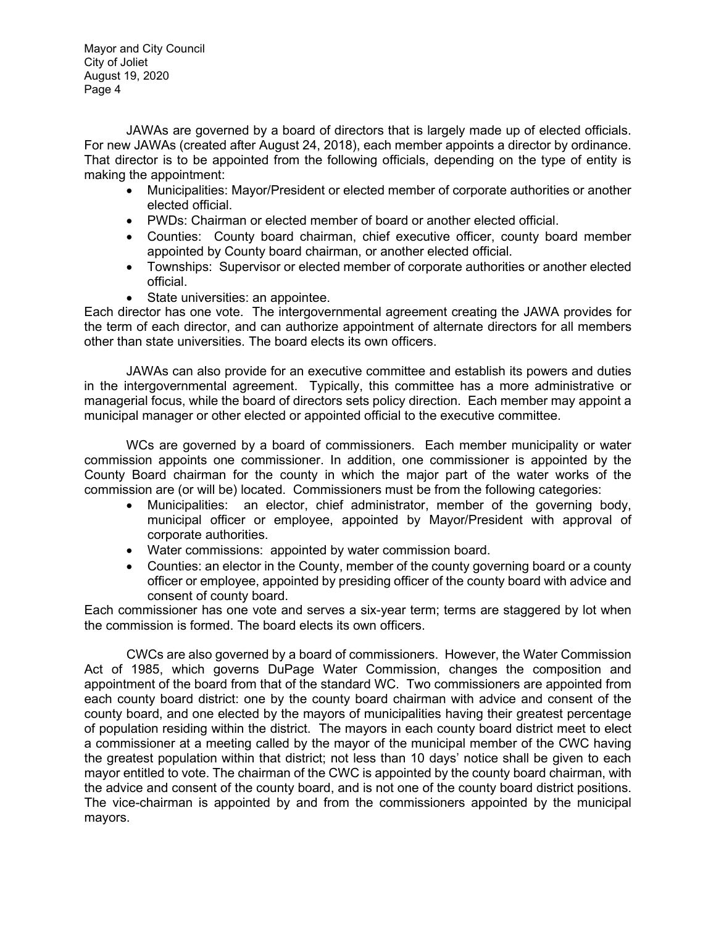JAWAs are governed by a board of directors that is largely made up of elected officials. For new JAWAs (created after August 24, 2018), each member appoints a director by ordinance. That director is to be appointed from the following officials, depending on the type of entity is making the appointment:

- Municipalities: Mayor/President or elected member of corporate authorities or another elected official.
- PWDs: Chairman or elected member of board or another elected official.
- Counties: County board chairman, chief executive officer, county board member appointed by County board chairman, or another elected official.
- Townships: Supervisor or elected member of corporate authorities or another elected official.
- State universities: an appointee.

Each director has one vote. The intergovernmental agreement creating the JAWA provides for the term of each director, and can authorize appointment of alternate directors for all members other than state universities. The board elects its own officers.

JAWAs can also provide for an executive committee and establish its powers and duties in the intergovernmental agreement. Typically, this committee has a more administrative or managerial focus, while the board of directors sets policy direction. Each member may appoint a municipal manager or other elected or appointed official to the executive committee.

WCs are governed by a board of commissioners. Each member municipality or water commission appoints one commissioner. In addition, one commissioner is appointed by the County Board chairman for the county in which the major part of the water works of the commission are (or will be) located. Commissioners must be from the following categories:

- Municipalities: an elector, chief administrator, member of the governing body, municipal officer or employee, appointed by Mayor/President with approval of corporate authorities.
- Water commissions: appointed by water commission board.
- Counties: an elector in the County, member of the county governing board or a county officer or employee, appointed by presiding officer of the county board with advice and consent of county board.

Each commissioner has one vote and serves a six-year term; terms are staggered by lot when the commission is formed. The board elects its own officers.

CWCs are also governed by a board of commissioners. However, the Water Commission Act of 1985, which governs DuPage Water Commission, changes the composition and appointment of the board from that of the standard WC. Two commissioners are appointed from each county board district: one by the county board chairman with advice and consent of the county board, and one elected by the mayors of municipalities having their greatest percentage of population residing within the district. The mayors in each county board district meet to elect a commissioner at a meeting called by the mayor of the municipal member of the CWC having the greatest population within that district; not less than 10 days' notice shall be given to each mayor entitled to vote. The chairman of the CWC is appointed by the county board chairman, with the advice and consent of the county board, and is not one of the county board district positions. The vice-chairman is appointed by and from the commissioners appointed by the municipal mayors.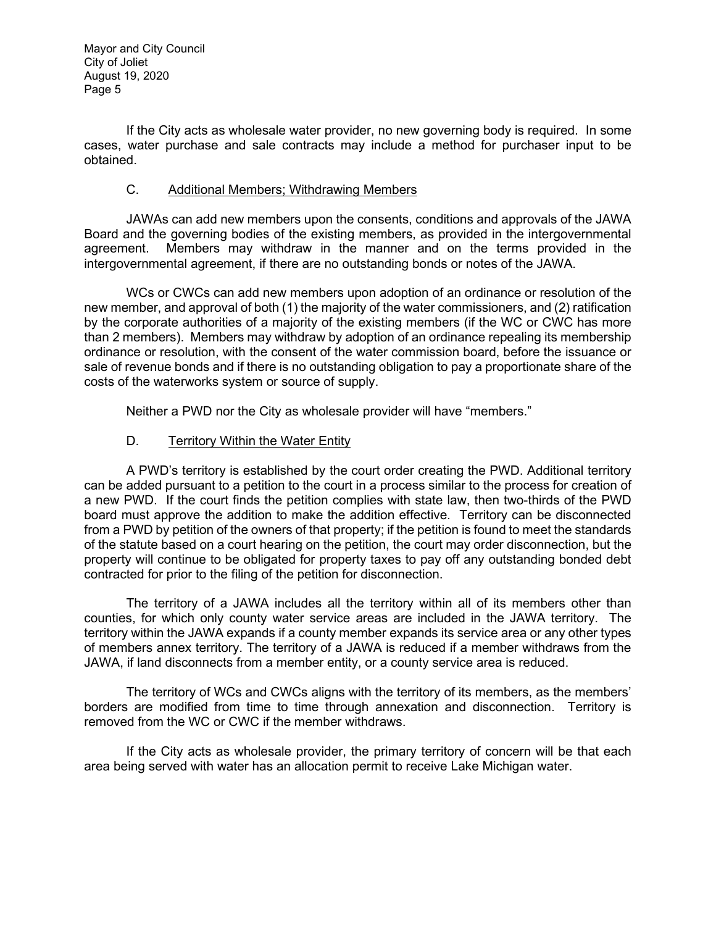If the City acts as wholesale water provider, no new governing body is required. In some cases, water purchase and sale contracts may include a method for purchaser input to be obtained.

## C. Additional Members; Withdrawing Members

JAWAs can add new members upon the consents, conditions and approvals of the JAWA Board and the governing bodies of the existing members, as provided in the intergovernmental agreement. Members may withdraw in the manner and on the terms provided in the intergovernmental agreement, if there are no outstanding bonds or notes of the JAWA.

WCs or CWCs can add new members upon adoption of an ordinance or resolution of the new member, and approval of both (1) the majority of the water commissioners, and (2) ratification by the corporate authorities of a majority of the existing members (if the WC or CWC has more than 2 members). Members may withdraw by adoption of an ordinance repealing its membership ordinance or resolution, with the consent of the water commission board, before the issuance or sale of revenue bonds and if there is no outstanding obligation to pay a proportionate share of the costs of the waterworks system or source of supply.

Neither a PWD nor the City as wholesale provider will have "members."

## D. Territory Within the Water Entity

A PWD's territory is established by the court order creating the PWD. Additional territory can be added pursuant to a petition to the court in a process similar to the process for creation of a new PWD. If the court finds the petition complies with state law, then two-thirds of the PWD board must approve the addition to make the addition effective. Territory can be disconnected from a PWD by petition of the owners of that property; if the petition is found to meet the standards of the statute based on a court hearing on the petition, the court may order disconnection, but the property will continue to be obligated for property taxes to pay off any outstanding bonded debt contracted for prior to the filing of the petition for disconnection.

The territory of a JAWA includes all the territory within all of its members other than counties, for which only county water service areas are included in the JAWA territory. The territory within the JAWA expands if a county member expands its service area or any other types of members annex territory. The territory of a JAWA is reduced if a member withdraws from the JAWA, if land disconnects from a member entity, or a county service area is reduced.

The territory of WCs and CWCs aligns with the territory of its members, as the members' borders are modified from time to time through annexation and disconnection. Territory is removed from the WC or CWC if the member withdraws.

If the City acts as wholesale provider, the primary territory of concern will be that each area being served with water has an allocation permit to receive Lake Michigan water.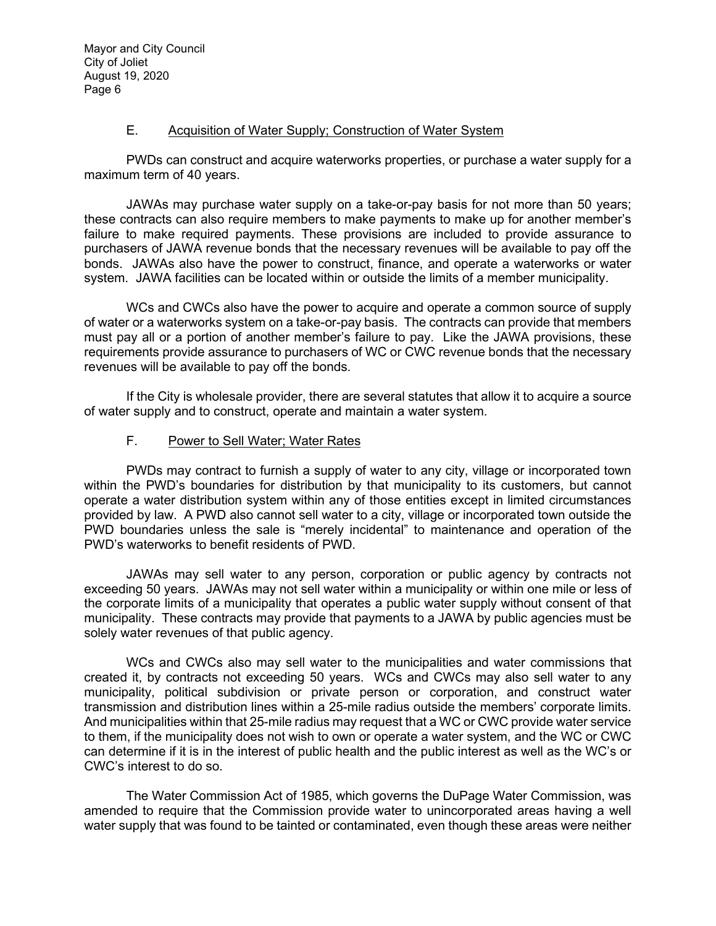#### E. Acquisition of Water Supply; Construction of Water System

PWDs can construct and acquire waterworks properties, or purchase a water supply for a maximum term of 40 years.

JAWAs may purchase water supply on a take-or-pay basis for not more than 50 years; these contracts can also require members to make payments to make up for another member's failure to make required payments. These provisions are included to provide assurance to purchasers of JAWA revenue bonds that the necessary revenues will be available to pay off the bonds. JAWAs also have the power to construct, finance, and operate a waterworks or water system. JAWA facilities can be located within or outside the limits of a member municipality.

WCs and CWCs also have the power to acquire and operate a common source of supply of water or a waterworks system on a take-or-pay basis. The contracts can provide that members must pay all or a portion of another member's failure to pay. Like the JAWA provisions, these requirements provide assurance to purchasers of WC or CWC revenue bonds that the necessary revenues will be available to pay off the bonds.

If the City is wholesale provider, there are several statutes that allow it to acquire a source of water supply and to construct, operate and maintain a water system.

## F. Power to Sell Water; Water Rates

PWDs may contract to furnish a supply of water to any city, village or incorporated town within the PWD's boundaries for distribution by that municipality to its customers, but cannot operate a water distribution system within any of those entities except in limited circumstances provided by law. A PWD also cannot sell water to a city, village or incorporated town outside the PWD boundaries unless the sale is "merely incidental" to maintenance and operation of the PWD's waterworks to benefit residents of PWD.

JAWAs may sell water to any person, corporation or public agency by contracts not exceeding 50 years. JAWAs may not sell water within a municipality or within one mile or less of the corporate limits of a municipality that operates a public water supply without consent of that municipality. These contracts may provide that payments to a JAWA by public agencies must be solely water revenues of that public agency.

WCs and CWCs also may sell water to the municipalities and water commissions that created it, by contracts not exceeding 50 years. WCs and CWCs may also sell water to any municipality, political subdivision or private person or corporation, and construct water transmission and distribution lines within a 25-mile radius outside the members' corporate limits. And municipalities within that 25-mile radius may request that a WC or CWC provide water service to them, if the municipality does not wish to own or operate a water system, and the WC or CWC can determine if it is in the interest of public health and the public interest as well as the WC's or CWC's interest to do so.

The Water Commission Act of 1985, which governs the DuPage Water Commission, was amended to require that the Commission provide water to unincorporated areas having a well water supply that was found to be tainted or contaminated, even though these areas were neither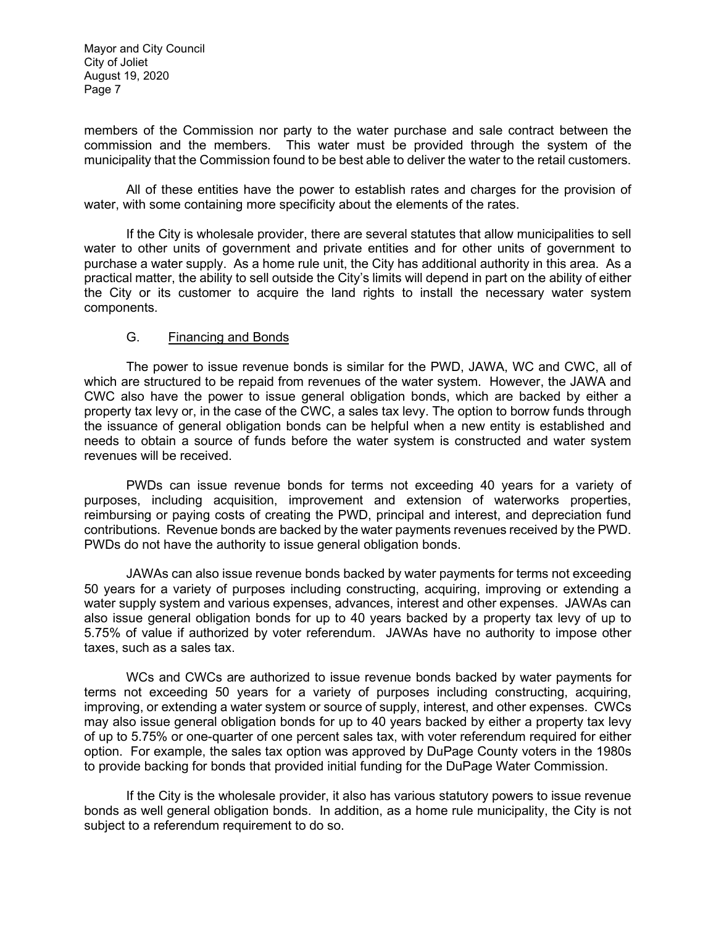members of the Commission nor party to the water purchase and sale contract between the commission and the members. This water must be provided through the system of the municipality that the Commission found to be best able to deliver the water to the retail customers.

All of these entities have the power to establish rates and charges for the provision of water, with some containing more specificity about the elements of the rates.

If the City is wholesale provider, there are several statutes that allow municipalities to sell water to other units of government and private entities and for other units of government to purchase a water supply. As a home rule unit, the City has additional authority in this area. As a practical matter, the ability to sell outside the City's limits will depend in part on the ability of either the City or its customer to acquire the land rights to install the necessary water system components.

## G. Financing and Bonds

The power to issue revenue bonds is similar for the PWD, JAWA, WC and CWC, all of which are structured to be repaid from revenues of the water system. However, the JAWA and CWC also have the power to issue general obligation bonds, which are backed by either a property tax levy or, in the case of the CWC, a sales tax levy. The option to borrow funds through the issuance of general obligation bonds can be helpful when a new entity is established and needs to obtain a source of funds before the water system is constructed and water system revenues will be received.

PWDs can issue revenue bonds for terms not exceeding 40 years for a variety of purposes, including acquisition, improvement and extension of waterworks properties, reimbursing or paying costs of creating the PWD, principal and interest, and depreciation fund contributions. Revenue bonds are backed by the water payments revenues received by the PWD. PWDs do not have the authority to issue general obligation bonds.

JAWAs can also issue revenue bonds backed by water payments for terms not exceeding 50 years for a variety of purposes including constructing, acquiring, improving or extending a water supply system and various expenses, advances, interest and other expenses. JAWAs can also issue general obligation bonds for up to 40 years backed by a property tax levy of up to 5.75% of value if authorized by voter referendum. JAWAs have no authority to impose other taxes, such as a sales tax.

WCs and CWCs are authorized to issue revenue bonds backed by water payments for terms not exceeding 50 years for a variety of purposes including constructing, acquiring, improving, or extending a water system or source of supply, interest, and other expenses. CWCs may also issue general obligation bonds for up to 40 years backed by either a property tax levy of up to 5.75% or one-quarter of one percent sales tax, with voter referendum required for either option. For example, the sales tax option was approved by DuPage County voters in the 1980s to provide backing for bonds that provided initial funding for the DuPage Water Commission.

If the City is the wholesale provider, it also has various statutory powers to issue revenue bonds as well general obligation bonds. In addition, as a home rule municipality, the City is not subject to a referendum requirement to do so.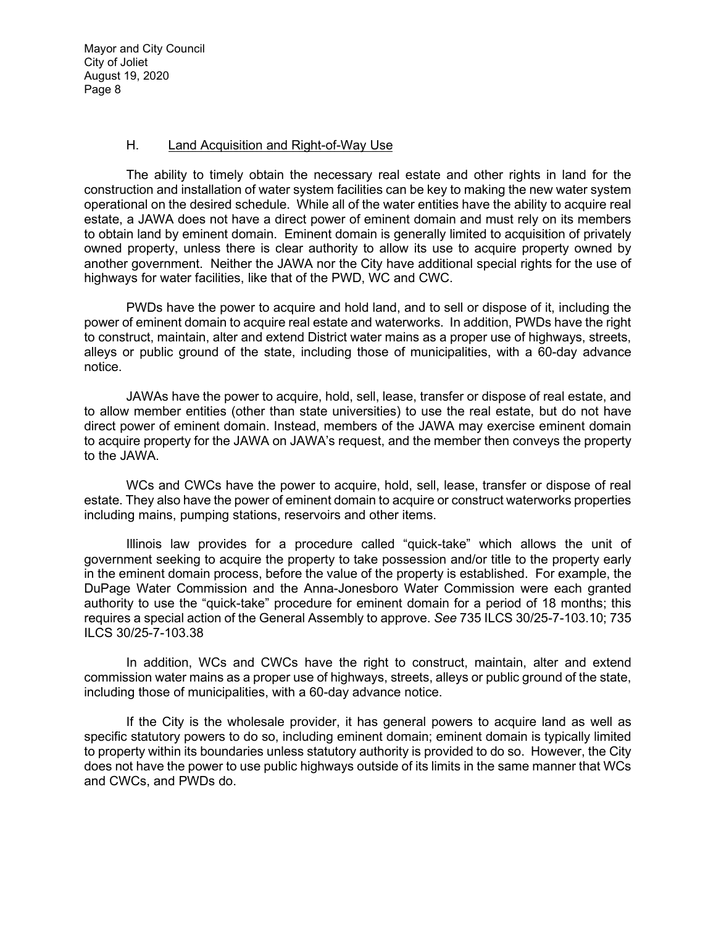#### H. Land Acquisition and Right-of-Way Use

The ability to timely obtain the necessary real estate and other rights in land for the construction and installation of water system facilities can be key to making the new water system operational on the desired schedule. While all of the water entities have the ability to acquire real estate, a JAWA does not have a direct power of eminent domain and must rely on its members to obtain land by eminent domain. Eminent domain is generally limited to acquisition of privately owned property, unless there is clear authority to allow its use to acquire property owned by another government. Neither the JAWA nor the City have additional special rights for the use of highways for water facilities, like that of the PWD, WC and CWC.

PWDs have the power to acquire and hold land, and to sell or dispose of it, including the power of eminent domain to acquire real estate and waterworks. In addition, PWDs have the right to construct, maintain, alter and extend District water mains as a proper use of highways, streets, alleys or public ground of the state, including those of municipalities, with a 60-day advance notice.

JAWAs have the power to acquire, hold, sell, lease, transfer or dispose of real estate, and to allow member entities (other than state universities) to use the real estate, but do not have direct power of eminent domain. Instead, members of the JAWA may exercise eminent domain to acquire property for the JAWA on JAWA's request, and the member then conveys the property to the JAWA.

WCs and CWCs have the power to acquire, hold, sell, lease, transfer or dispose of real estate. They also have the power of eminent domain to acquire or construct waterworks properties including mains, pumping stations, reservoirs and other items.

Illinois law provides for a procedure called "quick-take" which allows the unit of government seeking to acquire the property to take possession and/or title to the property early in the eminent domain process, before the value of the property is established. For example, the DuPage Water Commission and the Anna-Jonesboro Water Commission were each granted authority to use the "quick-take" procedure for eminent domain for a period of 18 months; this requires a special action of the General Assembly to approve. *See* 735 ILCS 30/25-7-103.10; 735 ILCS 30/25-7-103.38

In addition, WCs and CWCs have the right to construct, maintain, alter and extend commission water mains as a proper use of highways, streets, alleys or public ground of the state, including those of municipalities, with a 60-day advance notice.

If the City is the wholesale provider, it has general powers to acquire land as well as specific statutory powers to do so, including eminent domain; eminent domain is typically limited to property within its boundaries unless statutory authority is provided to do so. However, the City does not have the power to use public highways outside of its limits in the same manner that WCs and CWCs, and PWDs do.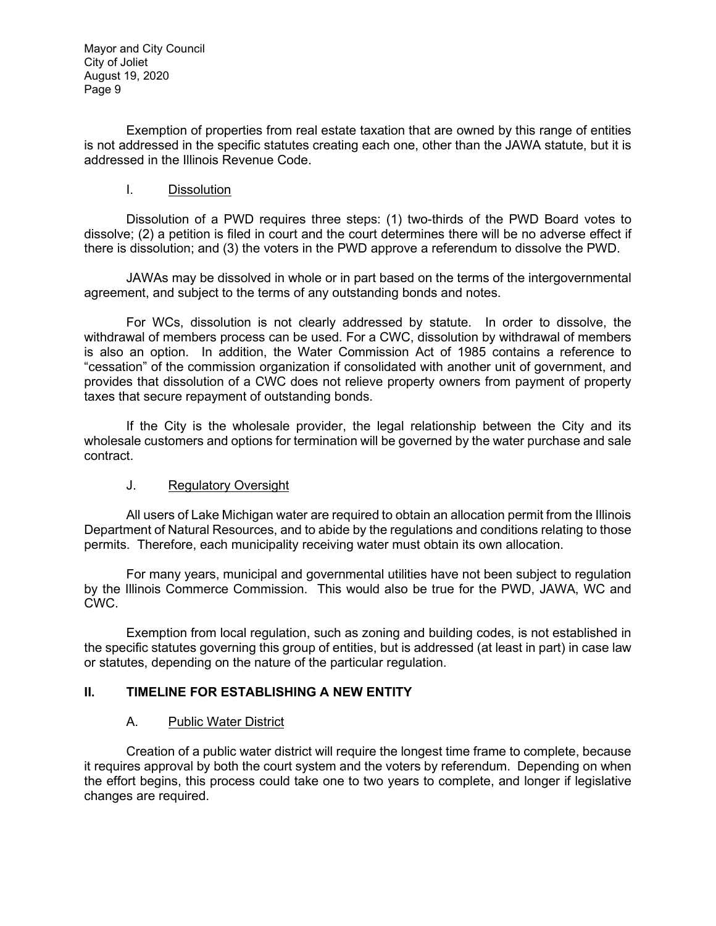Exemption of properties from real estate taxation that are owned by this range of entities is not addressed in the specific statutes creating each one, other than the JAWA statute, but it is addressed in the Illinois Revenue Code.

## I. Dissolution

Dissolution of a PWD requires three steps: (1) two-thirds of the PWD Board votes to dissolve; (2) a petition is filed in court and the court determines there will be no adverse effect if there is dissolution; and (3) the voters in the PWD approve a referendum to dissolve the PWD.

JAWAs may be dissolved in whole or in part based on the terms of the intergovernmental agreement, and subject to the terms of any outstanding bonds and notes.

For WCs, dissolution is not clearly addressed by statute. In order to dissolve, the withdrawal of members process can be used. For a CWC, dissolution by withdrawal of members is also an option. In addition, the Water Commission Act of 1985 contains a reference to "cessation" of the commission organization if consolidated with another unit of government, and provides that dissolution of a CWC does not relieve property owners from payment of property taxes that secure repayment of outstanding bonds.

If the City is the wholesale provider, the legal relationship between the City and its wholesale customers and options for termination will be governed by the water purchase and sale contract.

## J. Regulatory Oversight

All users of Lake Michigan water are required to obtain an allocation permit from the Illinois Department of Natural Resources, and to abide by the regulations and conditions relating to those permits. Therefore, each municipality receiving water must obtain its own allocation.

For many years, municipal and governmental utilities have not been subject to regulation by the Illinois Commerce Commission. This would also be true for the PWD, JAWA, WC and CWC.

Exemption from local regulation, such as zoning and building codes, is not established in the specific statutes governing this group of entities, but is addressed (at least in part) in case law or statutes, depending on the nature of the particular regulation.

## **II. TIMELINE FOR ESTABLISHING A NEW ENTITY**

## A. Public Water District

Creation of a public water district will require the longest time frame to complete, because it requires approval by both the court system and the voters by referendum. Depending on when the effort begins, this process could take one to two years to complete, and longer if legislative changes are required.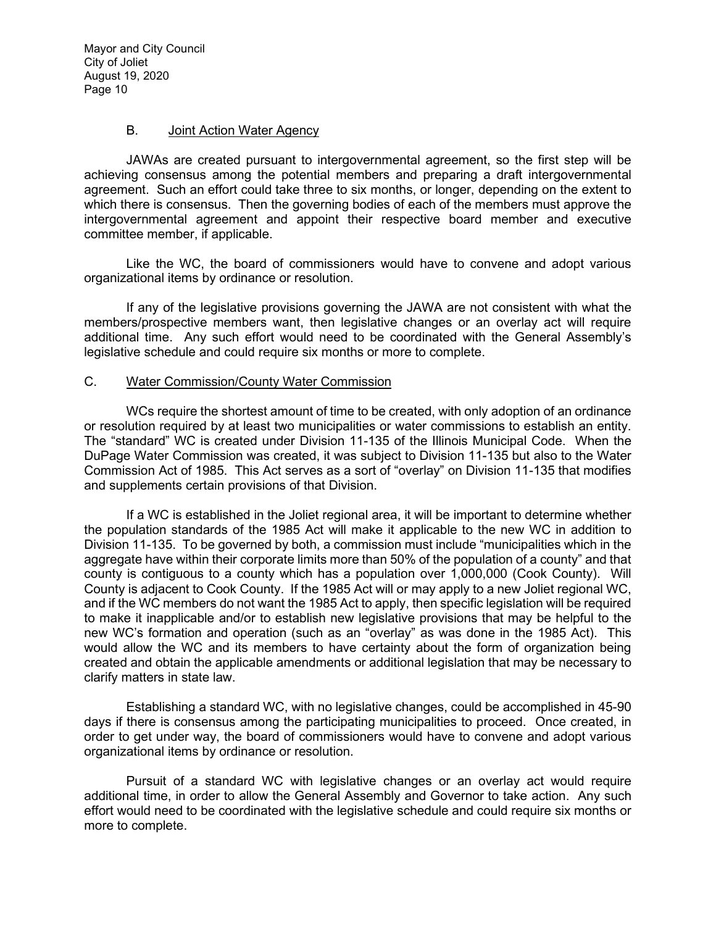#### B. Joint Action Water Agency

JAWAs are created pursuant to intergovernmental agreement, so the first step will be achieving consensus among the potential members and preparing a draft intergovernmental agreement. Such an effort could take three to six months, or longer, depending on the extent to which there is consensus. Then the governing bodies of each of the members must approve the intergovernmental agreement and appoint their respective board member and executive committee member, if applicable.

Like the WC, the board of commissioners would have to convene and adopt various organizational items by ordinance or resolution.

If any of the legislative provisions governing the JAWA are not consistent with what the members/prospective members want, then legislative changes or an overlay act will require additional time. Any such effort would need to be coordinated with the General Assembly's legislative schedule and could require six months or more to complete.

## C. Water Commission/County Water Commission

WCs require the shortest amount of time to be created, with only adoption of an ordinance or resolution required by at least two municipalities or water commissions to establish an entity. The "standard" WC is created under Division 11-135 of the Illinois Municipal Code. When the DuPage Water Commission was created, it was subject to Division 11-135 but also to the Water Commission Act of 1985. This Act serves as a sort of "overlay" on Division 11-135 that modifies and supplements certain provisions of that Division.

If a WC is established in the Joliet regional area, it will be important to determine whether the population standards of the 1985 Act will make it applicable to the new WC in addition to Division 11-135. To be governed by both, a commission must include "municipalities which in the aggregate have within their corporate limits more than 50% of the population of a county" and that county is contiguous to a county which has a population over 1,000,000 (Cook County). Will County is adjacent to Cook County. If the 1985 Act will or may apply to a new Joliet regional WC, and if the WC members do not want the 1985 Act to apply, then specific legislation will be required to make it inapplicable and/or to establish new legislative provisions that may be helpful to the new WC's formation and operation (such as an "overlay" as was done in the 1985 Act). This would allow the WC and its members to have certainty about the form of organization being created and obtain the applicable amendments or additional legislation that may be necessary to clarify matters in state law.

Establishing a standard WC, with no legislative changes, could be accomplished in 45-90 days if there is consensus among the participating municipalities to proceed. Once created, in order to get under way, the board of commissioners would have to convene and adopt various organizational items by ordinance or resolution.

Pursuit of a standard WC with legislative changes or an overlay act would require additional time, in order to allow the General Assembly and Governor to take action. Any such effort would need to be coordinated with the legislative schedule and could require six months or more to complete.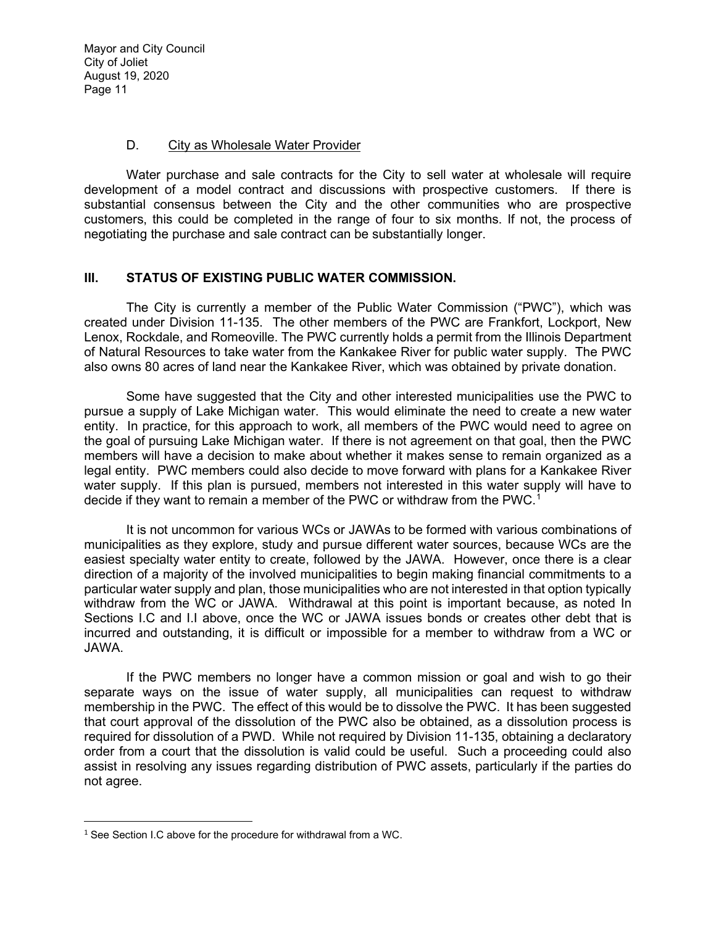#### D. City as Wholesale Water Provider

Water purchase and sale contracts for the City to sell water at wholesale will require development of a model contract and discussions with prospective customers. If there is substantial consensus between the City and the other communities who are prospective customers, this could be completed in the range of four to six months. If not, the process of negotiating the purchase and sale contract can be substantially longer.

## **III. STATUS OF EXISTING PUBLIC WATER COMMISSION.**

The City is currently a member of the Public Water Commission ("PWC"), which was created under Division 11-135. The other members of the PWC are Frankfort, Lockport, New Lenox, Rockdale, and Romeoville. The PWC currently holds a permit from the Illinois Department of Natural Resources to take water from the Kankakee River for public water supply. The PWC also owns 80 acres of land near the Kankakee River, which was obtained by private donation.

Some have suggested that the City and other interested municipalities use the PWC to pursue a supply of Lake Michigan water. This would eliminate the need to create a new water entity. In practice, for this approach to work, all members of the PWC would need to agree on the goal of pursuing Lake Michigan water. If there is not agreement on that goal, then the PWC members will have a decision to make about whether it makes sense to remain organized as a legal entity. PWC members could also decide to move forward with plans for a Kankakee River water supply. If this plan is pursued, members not interested in this water supply will have to decide if they want to remain a member of the PWC or withdraw from the PWC.<sup>[1](#page-10-0)</sup>

It is not uncommon for various WCs or JAWAs to be formed with various combinations of municipalities as they explore, study and pursue different water sources, because WCs are the easiest specialty water entity to create, followed by the JAWA. However, once there is a clear direction of a majority of the involved municipalities to begin making financial commitments to a particular water supply and plan, those municipalities who are not interested in that option typically withdraw from the WC or JAWA. Withdrawal at this point is important because, as noted In Sections I.C and I.I above, once the WC or JAWA issues bonds or creates other debt that is incurred and outstanding, it is difficult or impossible for a member to withdraw from a WC or JAWA.

If the PWC members no longer have a common mission or goal and wish to go their separate ways on the issue of water supply, all municipalities can request to withdraw membership in the PWC. The effect of this would be to dissolve the PWC. It has been suggested that court approval of the dissolution of the PWC also be obtained, as a dissolution process is required for dissolution of a PWD. While not required by Division 11-135, obtaining a declaratory order from a court that the dissolution is valid could be useful. Such a proceeding could also assist in resolving any issues regarding distribution of PWC assets, particularly if the parties do not agree.

<span id="page-10-0"></span> $1$  See Section I.C above for the procedure for withdrawal from a WC.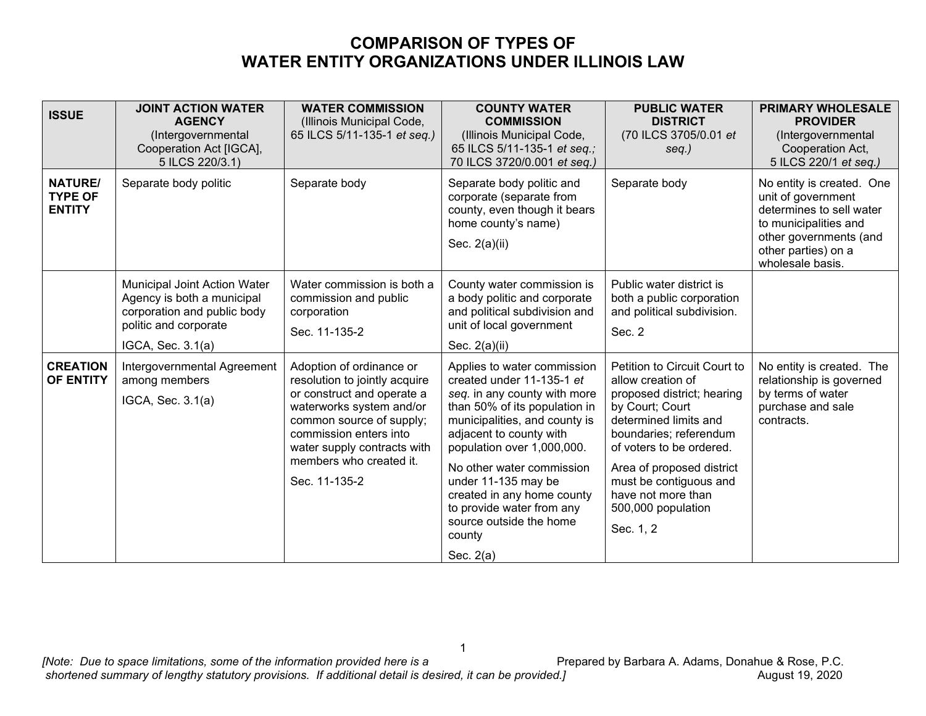## **COMPARISON OF TYPES OF WATER ENTITY ORGANIZATIONS UNDER ILLINOIS LAW**

| <b>ISSUE</b>                                      | <b>JOINT ACTION WATER</b><br><b>AGENCY</b><br>(Intergovernmental<br>Cooperation Act [IGCA],<br>5 ILCS 220/3.1)                          | <b>WATER COMMISSION</b><br>(Illinois Municipal Code,<br>65 ILCS 5/11-135-1 et seq.)                                                                                                                                                                  | <b>COUNTY WATER</b><br><b>COMMISSION</b><br>(Illinois Municipal Code,<br>65 ILCS 5/11-135-1 et seq.;<br>70 ILCS 3720/0.001 et seq.)                                                                                                                                                                                                                                                    | <b>PUBLIC WATER</b><br><b>DISTRICT</b><br>(70 ILCS 3705/0.01 et<br>seq.)                                                                                                                                                                                                                          | <b>PRIMARY WHOLESALE</b><br><b>PROVIDER</b><br>(Intergovernmental<br>Cooperation Act,<br>5 ILCS 220/1 et seq.)                                                            |
|---------------------------------------------------|-----------------------------------------------------------------------------------------------------------------------------------------|------------------------------------------------------------------------------------------------------------------------------------------------------------------------------------------------------------------------------------------------------|----------------------------------------------------------------------------------------------------------------------------------------------------------------------------------------------------------------------------------------------------------------------------------------------------------------------------------------------------------------------------------------|---------------------------------------------------------------------------------------------------------------------------------------------------------------------------------------------------------------------------------------------------------------------------------------------------|---------------------------------------------------------------------------------------------------------------------------------------------------------------------------|
| <b>NATURE/</b><br><b>TYPE OF</b><br><b>ENTITY</b> | Separate body politic                                                                                                                   | Separate body                                                                                                                                                                                                                                        | Separate body politic and<br>corporate (separate from<br>county, even though it bears<br>home county's name)<br>Sec. 2(a)(ii)                                                                                                                                                                                                                                                          | Separate body                                                                                                                                                                                                                                                                                     | No entity is created. One<br>unit of government<br>determines to sell water<br>to municipalities and<br>other governments (and<br>other parties) on a<br>wholesale basis. |
|                                                   | Municipal Joint Action Water<br>Agency is both a municipal<br>corporation and public body<br>politic and corporate<br>IGCA, Sec. 3.1(a) | Water commission is both a<br>commission and public<br>corporation<br>Sec. 11-135-2                                                                                                                                                                  | County water commission is<br>a body politic and corporate<br>and political subdivision and<br>unit of local government<br>Sec. $2(a)(ii)$                                                                                                                                                                                                                                             | Public water district is<br>both a public corporation<br>and political subdivision.<br>Sec. 2                                                                                                                                                                                                     |                                                                                                                                                                           |
| <b>CREATION</b><br><b>OF ENTITY</b>               | Intergovernmental Agreement<br>among members<br>IGCA, Sec. 3.1(a)                                                                       | Adoption of ordinance or<br>resolution to jointly acquire<br>or construct and operate a<br>waterworks system and/or<br>common source of supply;<br>commission enters into<br>water supply contracts with<br>members who created it.<br>Sec. 11-135-2 | Applies to water commission<br>created under 11-135-1 et<br>seq. in any county with more<br>than 50% of its population in<br>municipalities, and county is<br>adjacent to county with<br>population over 1,000,000.<br>No other water commission<br>under 11-135 may be<br>created in any home county<br>to provide water from any<br>source outside the home<br>county<br>Sec. $2(a)$ | Petition to Circuit Court to<br>allow creation of<br>proposed district; hearing<br>by Court; Court<br>determined limits and<br>boundaries; referendum<br>of voters to be ordered.<br>Area of proposed district<br>must be contiguous and<br>have not more than<br>500,000 population<br>Sec. 1, 2 | No entity is created. The<br>relationship is governed<br>by terms of water<br>purchase and sale<br>contracts.                                                             |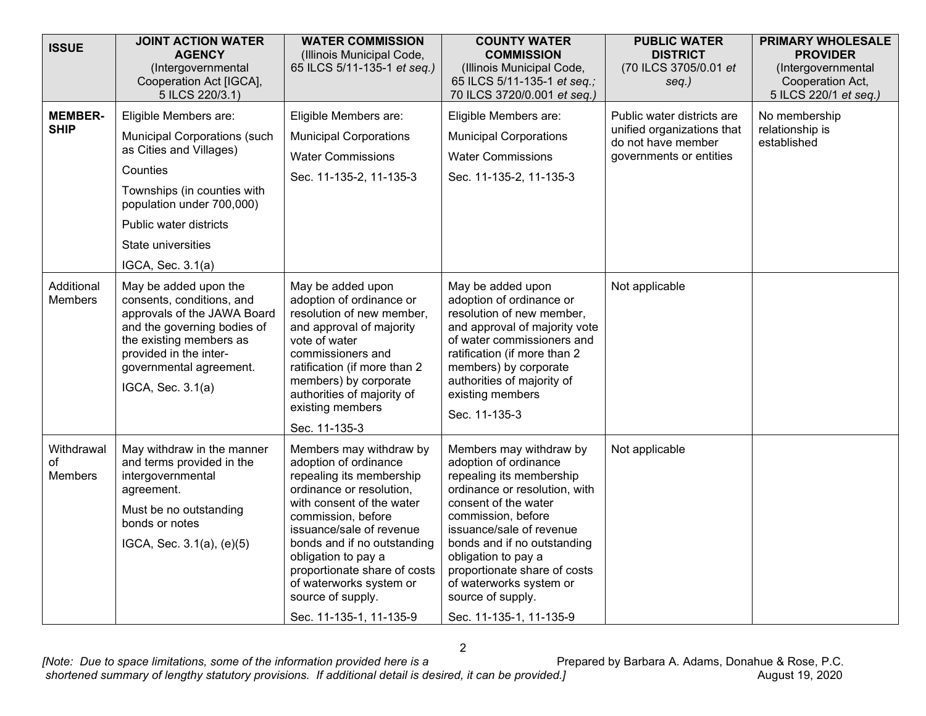| <b>ISSUE</b>                  | <b>JOINT ACTION WATER</b><br><b>AGENCY</b><br>(Intergovernmental<br>Cooperation Act [IGCA],                                                                                                                           | <b>WATER COMMISSION</b><br>(Illinois Municipal Code,<br>65 ILCS 5/11-135-1 et seq.)                                                                                                                                                                                                                                                                      | <b>COUNTY WATER</b><br><b>COMMISSION</b><br>(Illinois Municipal Code,<br>65 ILCS 5/11-135-1 et seq.;                                                                                                                                                                                                                                                     | <b>PUBLIC WATER</b><br><b>DISTRICT</b><br>(70 ILCS 3705/0.01 et<br>$seq.$ )                               | <b>PRIMARY WHOLESALE</b><br><b>PROVIDER</b><br>(Intergovernmental<br>Cooperation Act, |
|-------------------------------|-----------------------------------------------------------------------------------------------------------------------------------------------------------------------------------------------------------------------|----------------------------------------------------------------------------------------------------------------------------------------------------------------------------------------------------------------------------------------------------------------------------------------------------------------------------------------------------------|----------------------------------------------------------------------------------------------------------------------------------------------------------------------------------------------------------------------------------------------------------------------------------------------------------------------------------------------------------|-----------------------------------------------------------------------------------------------------------|---------------------------------------------------------------------------------------|
|                               | 5 ILCS 220/3.1)                                                                                                                                                                                                       |                                                                                                                                                                                                                                                                                                                                                          | 70 ILCS 3720/0.001 et seq.)                                                                                                                                                                                                                                                                                                                              |                                                                                                           | 5 ILCS 220/1 et seq.)                                                                 |
| <b>MEMBER-</b><br><b>SHIP</b> | Eligible Members are:<br><b>Municipal Corporations (such</b><br>as Cities and Villages)<br>Counties<br>Townships (in counties with<br>population under 700,000)<br>Public water districts<br>State universities       | Eligible Members are:<br><b>Municipal Corporations</b><br><b>Water Commissions</b><br>Sec. 11-135-2, 11-135-3                                                                                                                                                                                                                                            | Eligible Members are:<br><b>Municipal Corporations</b><br><b>Water Commissions</b><br>Sec. 11-135-2, 11-135-3                                                                                                                                                                                                                                            | Public water districts are<br>unified organizations that<br>do not have member<br>governments or entities | No membership<br>relationship is<br>established                                       |
|                               | IGCA, Sec. 3.1(a)                                                                                                                                                                                                     |                                                                                                                                                                                                                                                                                                                                                          |                                                                                                                                                                                                                                                                                                                                                          |                                                                                                           |                                                                                       |
| Additional<br><b>Members</b>  | May be added upon the<br>consents, conditions, and<br>approvals of the JAWA Board<br>and the governing bodies of<br>the existing members as<br>provided in the inter-<br>governmental agreement.<br>IGCA, Sec. 3.1(a) | May be added upon<br>adoption of ordinance or<br>resolution of new member,<br>and approval of majority<br>vote of water<br>commissioners and<br>ratification (if more than 2<br>members) by corporate<br>authorities of majority of<br>existing members<br>Sec. 11-135-3                                                                                 | May be added upon<br>adoption of ordinance or<br>resolution of new member,<br>and approval of majority vote<br>of water commissioners and<br>ratification (if more than 2<br>members) by corporate<br>authorities of majority of<br>existing members<br>Sec. 11-135-3                                                                                    | Not applicable                                                                                            |                                                                                       |
| Withdrawal<br>οf<br>Members   | May withdraw in the manner<br>and terms provided in the<br>intergovernmental<br>agreement.<br>Must be no outstanding<br>bonds or notes<br>IGCA, Sec. 3.1(a), (e)(5)                                                   | Members may withdraw by<br>adoption of ordinance<br>repealing its membership<br>ordinance or resolution,<br>with consent of the water<br>commission, before<br>issuance/sale of revenue<br>bonds and if no outstanding<br>obligation to pay a<br>proportionate share of costs<br>of waterworks system or<br>source of supply.<br>Sec. 11-135-1, 11-135-9 | Members may withdraw by<br>adoption of ordinance<br>repealing its membership<br>ordinance or resolution, with<br>consent of the water<br>commission, before<br>issuance/sale of revenue<br>bonds and if no outstanding<br>obligation to pay a<br>proportionate share of costs<br>of waterworks system or<br>source of supply.<br>Sec. 11-135-1, 11-135-9 | Not applicable                                                                                            |                                                                                       |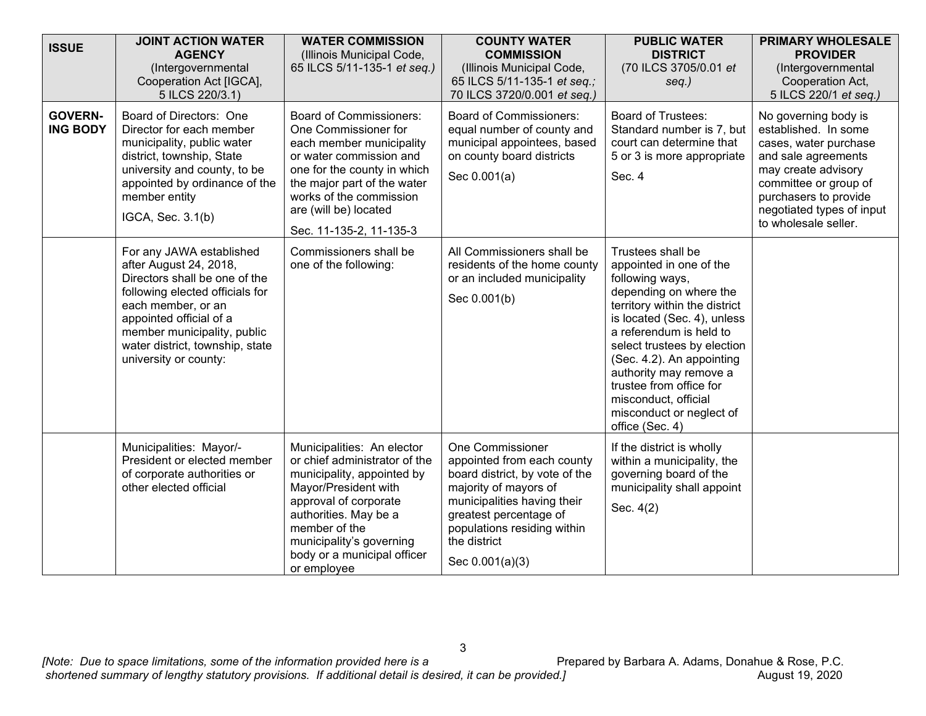| <b>ISSUE</b>                      | <b>JOINT ACTION WATER</b><br><b>AGENCY</b><br>(Intergovernmental<br>Cooperation Act [IGCA],<br>5 ILCS 220/3.1)                                                                                                                                                     | <b>WATER COMMISSION</b><br>(Illinois Municipal Code,<br>65 ILCS 5/11-135-1 et seq.)                                                                                                                                                                            | <b>COUNTY WATER</b><br><b>COMMISSION</b><br>(Illinois Municipal Code,<br>65 ILCS 5/11-135-1 et seq.;<br>70 ILCS 3720/0.001 et seq.)                                                                                                         | <b>PUBLIC WATER</b><br><b>DISTRICT</b><br>(70 ILCS 3705/0.01 et<br>$seq.$ )                                                                                                                                                                                                                                                                                                  | <b>PRIMARY WHOLESALE</b><br><b>PROVIDER</b><br>(Intergovernmental<br>Cooperation Act,<br>5 ILCS 220/1 et seq.)                                                                                                             |
|-----------------------------------|--------------------------------------------------------------------------------------------------------------------------------------------------------------------------------------------------------------------------------------------------------------------|----------------------------------------------------------------------------------------------------------------------------------------------------------------------------------------------------------------------------------------------------------------|---------------------------------------------------------------------------------------------------------------------------------------------------------------------------------------------------------------------------------------------|------------------------------------------------------------------------------------------------------------------------------------------------------------------------------------------------------------------------------------------------------------------------------------------------------------------------------------------------------------------------------|----------------------------------------------------------------------------------------------------------------------------------------------------------------------------------------------------------------------------|
| <b>GOVERN-</b><br><b>ING BODY</b> | Board of Directors: One<br>Director for each member<br>municipality, public water<br>district, township, State<br>university and county, to be<br>appointed by ordinance of the<br>member entity<br>IGCA, Sec. 3.1(b)                                              | <b>Board of Commissioners:</b><br>One Commissioner for<br>each member municipality<br>or water commission and<br>one for the county in which<br>the major part of the water<br>works of the commission<br>are (will be) located<br>Sec. 11-135-2, 11-135-3     | <b>Board of Commissioners:</b><br>equal number of county and<br>municipal appointees, based<br>on county board districts<br>Sec 0.001(a)                                                                                                    | <b>Board of Trustees:</b><br>Standard number is 7, but<br>court can determine that<br>5 or 3 is more appropriate<br>Sec. 4                                                                                                                                                                                                                                                   | No governing body is<br>established. In some<br>cases, water purchase<br>and sale agreements<br>may create advisory<br>committee or group of<br>purchasers to provide<br>negotiated types of input<br>to wholesale seller. |
|                                   | For any JAWA established<br>after August 24, 2018,<br>Directors shall be one of the<br>following elected officials for<br>each member, or an<br>appointed official of a<br>member municipality, public<br>water district, township, state<br>university or county: | Commissioners shall be<br>one of the following:                                                                                                                                                                                                                | All Commissioners shall be<br>residents of the home county<br>or an included municipality<br>Sec 0.001(b)                                                                                                                                   | Trustees shall be<br>appointed in one of the<br>following ways,<br>depending on where the<br>territory within the district<br>is located (Sec. 4), unless<br>a referendum is held to<br>select trustees by election<br>(Sec. 4.2). An appointing<br>authority may remove a<br>trustee from office for<br>misconduct, official<br>misconduct or neglect of<br>office (Sec. 4) |                                                                                                                                                                                                                            |
|                                   | Municipalities: Mayor/-<br>President or elected member<br>of corporate authorities or<br>other elected official                                                                                                                                                    | Municipalities: An elector<br>or chief administrator of the<br>municipality, appointed by<br>Mayor/President with<br>approval of corporate<br>authorities. May be a<br>member of the<br>municipality's governing<br>body or a municipal officer<br>or employee | <b>One Commissioner</b><br>appointed from each county<br>board district, by vote of the<br>majority of mayors of<br>municipalities having their<br>greatest percentage of<br>populations residing within<br>the district<br>Sec 0.001(a)(3) | If the district is wholly<br>within a municipality, the<br>governing board of the<br>municipality shall appoint<br>Sec. 4(2)                                                                                                                                                                                                                                                 |                                                                                                                                                                                                                            |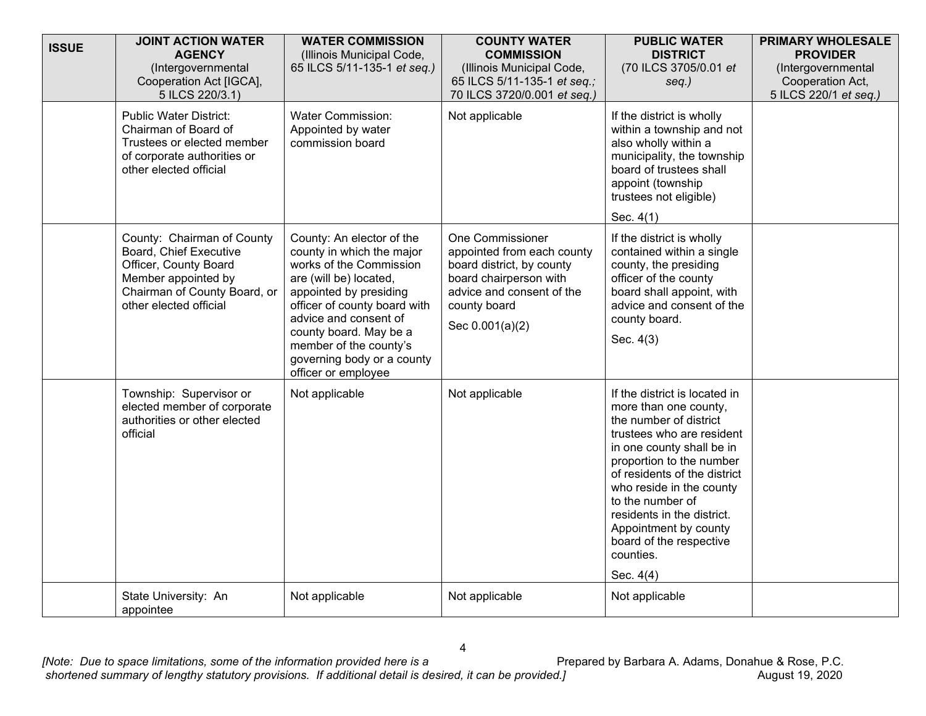| <b>ISSUE</b> | <b>JOINT ACTION WATER</b><br><b>AGENCY</b><br>(Intergovernmental<br>Cooperation Act [IGCA],<br>5 ILCS 220/3.1)                                                 | <b>WATER COMMISSION</b><br>(Illinois Municipal Code,<br>65 ILCS 5/11-135-1 et seq.)                                                                                                                                                                                                                     | <b>COUNTY WATER</b><br><b>COMMISSION</b><br>(Illinois Municipal Code,<br>65 ILCS 5/11-135-1 et seq.;<br>70 ILCS 3720/0.001 et seq.)                                          | <b>PUBLIC WATER</b><br><b>DISTRICT</b><br>(70 ILCS 3705/0.01 et<br>$seq.$ )                                                                                                                                                                                                                                                                                        | <b>PRIMARY WHOLESALE</b><br><b>PROVIDER</b><br>(Intergovernmental<br>Cooperation Act,<br>5 ILCS 220/1 et seq.) |
|--------------|----------------------------------------------------------------------------------------------------------------------------------------------------------------|---------------------------------------------------------------------------------------------------------------------------------------------------------------------------------------------------------------------------------------------------------------------------------------------------------|------------------------------------------------------------------------------------------------------------------------------------------------------------------------------|--------------------------------------------------------------------------------------------------------------------------------------------------------------------------------------------------------------------------------------------------------------------------------------------------------------------------------------------------------------------|----------------------------------------------------------------------------------------------------------------|
|              | <b>Public Water District:</b><br>Chairman of Board of<br>Trustees or elected member<br>of corporate authorities or<br>other elected official                   | <b>Water Commission:</b><br>Appointed by water<br>commission board                                                                                                                                                                                                                                      | Not applicable                                                                                                                                                               | If the district is wholly<br>within a township and not<br>also wholly within a<br>municipality, the township<br>board of trustees shall<br>appoint (township<br>trustees not eligible)<br>Sec. 4(1)                                                                                                                                                                |                                                                                                                |
|              | County: Chairman of County<br>Board, Chief Executive<br>Officer, County Board<br>Member appointed by<br>Chairman of County Board, or<br>other elected official | County: An elector of the<br>county in which the major<br>works of the Commission<br>are (will be) located,<br>appointed by presiding<br>officer of county board with<br>advice and consent of<br>county board. May be a<br>member of the county's<br>governing body or a county<br>officer or employee | <b>One Commissioner</b><br>appointed from each county<br>board district, by county<br>board chairperson with<br>advice and consent of the<br>county board<br>Sec 0.001(a)(2) | If the district is wholly<br>contained within a single<br>county, the presiding<br>officer of the county<br>board shall appoint, with<br>advice and consent of the<br>county board.<br>Sec. 4(3)                                                                                                                                                                   |                                                                                                                |
|              | Township: Supervisor or<br>elected member of corporate<br>authorities or other elected<br>official                                                             | Not applicable                                                                                                                                                                                                                                                                                          | Not applicable                                                                                                                                                               | If the district is located in<br>more than one county,<br>the number of district<br>trustees who are resident<br>in one county shall be in<br>proportion to the number<br>of residents of the district<br>who reside in the county<br>to the number of<br>residents in the district.<br>Appointment by county<br>board of the respective<br>counties.<br>Sec. 4(4) |                                                                                                                |
|              | State University: An<br>appointee                                                                                                                              | Not applicable                                                                                                                                                                                                                                                                                          | Not applicable                                                                                                                                                               | Not applicable                                                                                                                                                                                                                                                                                                                                                     |                                                                                                                |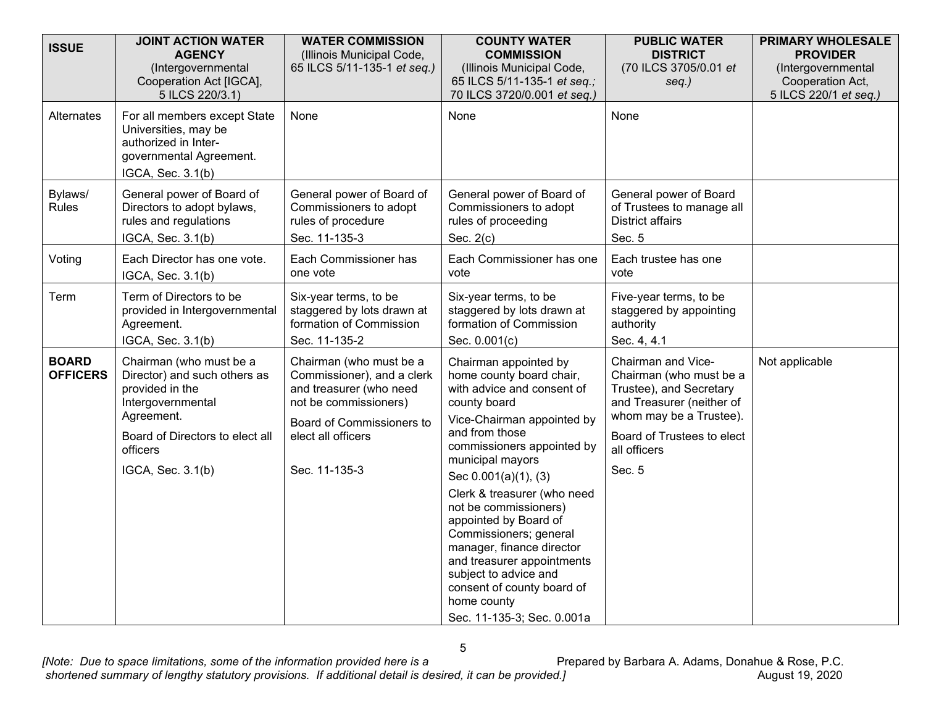| <b>ISSUE</b>                    | <b>JOINT ACTION WATER</b><br><b>AGENCY</b><br>(Intergovernmental                                                                                                                  | <b>WATER COMMISSION</b><br>(Illinois Municipal Code,<br>65 ILCS 5/11-135-1 et seq.)                                                                                           | <b>COUNTY WATER</b><br><b>COMMISSION</b><br>(Illinois Municipal Code,                                                                                                                                                                                                  | <b>PUBLIC WATER</b><br><b>DISTRICT</b><br>(70 ILCS 3705/0.01 et                                                                                                                          | <b>PRIMARY WHOLESALE</b><br><b>PROVIDER</b><br>(Intergovernmental |
|---------------------------------|-----------------------------------------------------------------------------------------------------------------------------------------------------------------------------------|-------------------------------------------------------------------------------------------------------------------------------------------------------------------------------|------------------------------------------------------------------------------------------------------------------------------------------------------------------------------------------------------------------------------------------------------------------------|------------------------------------------------------------------------------------------------------------------------------------------------------------------------------------------|-------------------------------------------------------------------|
|                                 | Cooperation Act [IGCA],<br>5 ILCS 220/3.1)                                                                                                                                        |                                                                                                                                                                               | 65 ILCS 5/11-135-1 et seq.;<br>70 ILCS 3720/0.001 et seq.)                                                                                                                                                                                                             | seq.)                                                                                                                                                                                    | Cooperation Act,<br>5 ILCS 220/1 et seq.)                         |
| <b>Alternates</b>               | For all members except State<br>Universities, may be<br>authorized in Inter-<br>governmental Agreement.<br>IGCA, Sec. 3.1(b)                                                      | None                                                                                                                                                                          | None                                                                                                                                                                                                                                                                   | None                                                                                                                                                                                     |                                                                   |
| Bylaws/<br><b>Rules</b>         | General power of Board of<br>Directors to adopt bylaws,<br>rules and regulations<br>IGCA, Sec. 3.1(b)                                                                             | General power of Board of<br>Commissioners to adopt<br>rules of procedure<br>Sec. 11-135-3                                                                                    | General power of Board of<br>Commissioners to adopt<br>rules of proceeding<br>Sec. $2(c)$                                                                                                                                                                              | General power of Board<br>of Trustees to manage all<br><b>District affairs</b><br>Sec. 5                                                                                                 |                                                                   |
| Voting                          | Each Director has one vote.<br>IGCA, Sec. 3.1(b)                                                                                                                                  | Each Commissioner has<br>one vote                                                                                                                                             | Each Commissioner has one<br>vote                                                                                                                                                                                                                                      | Each trustee has one<br>vote                                                                                                                                                             |                                                                   |
| Term                            | Term of Directors to be<br>provided in Intergovernmental<br>Agreement.                                                                                                            | Six-year terms, to be<br>staggered by lots drawn at<br>formation of Commission                                                                                                | Six-year terms, to be<br>staggered by lots drawn at<br>formation of Commission                                                                                                                                                                                         | Five-year terms, to be<br>staggered by appointing<br>authority                                                                                                                           |                                                                   |
|                                 | IGCA, Sec. 3.1(b)                                                                                                                                                                 | Sec. 11-135-2                                                                                                                                                                 | Sec. 0.001(c)                                                                                                                                                                                                                                                          | Sec. 4, 4.1                                                                                                                                                                              |                                                                   |
| <b>BOARD</b><br><b>OFFICERS</b> | Chairman (who must be a<br>Director) and such others as<br>provided in the<br>Intergovernmental<br>Agreement.<br>Board of Directors to elect all<br>officers<br>IGCA, Sec. 3.1(b) | Chairman (who must be a<br>Commissioner), and a clerk<br>and treasurer (who need<br>not be commissioners)<br>Board of Commissioners to<br>elect all officers<br>Sec. 11-135-3 | Chairman appointed by<br>home county board chair,<br>with advice and consent of<br>county board<br>Vice-Chairman appointed by<br>and from those<br>commissioners appointed by<br>municipal mayors<br>Sec 0.001(a)(1), (3)                                              | Chairman and Vice-<br>Chairman (who must be a<br>Trustee), and Secretary<br>and Treasurer (neither of<br>whom may be a Trustee).<br>Board of Trustees to elect<br>all officers<br>Sec. 5 | Not applicable                                                    |
|                                 |                                                                                                                                                                                   |                                                                                                                                                                               | Clerk & treasurer (who need<br>not be commissioners)<br>appointed by Board of<br>Commissioners; general<br>manager, finance director<br>and treasurer appointments<br>subject to advice and<br>consent of county board of<br>home county<br>Sec. 11-135-3; Sec. 0.001a |                                                                                                                                                                                          |                                                                   |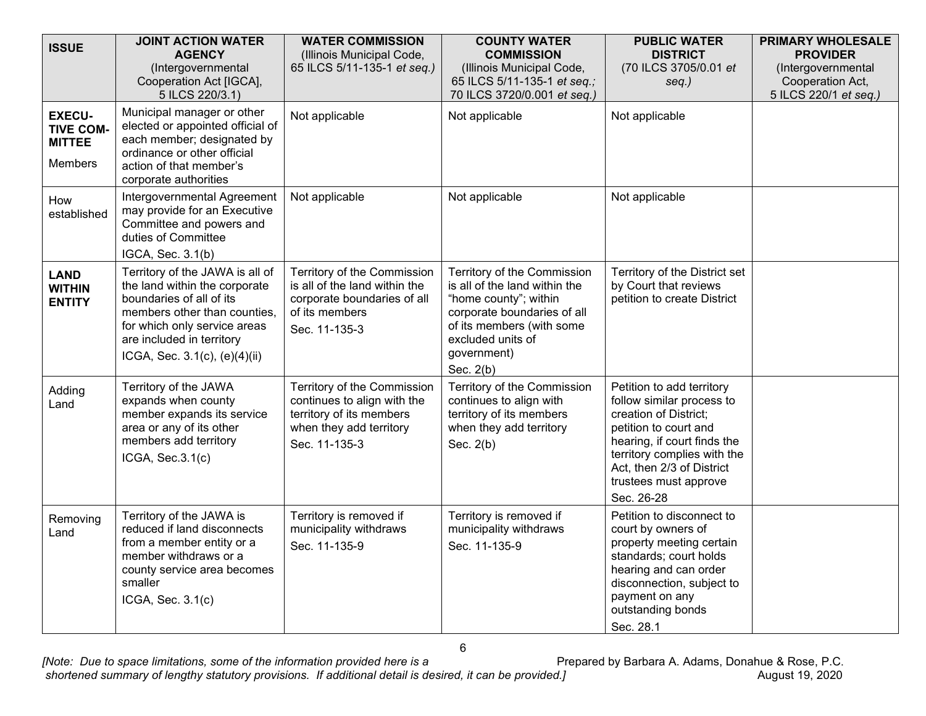| <b>ISSUE</b>                                                  | <b>JOINT ACTION WATER</b><br><b>AGENCY</b><br>(Intergovernmental<br>Cooperation Act [IGCA],<br>5 ILCS 220/3.1)                                                                                                             | <b>WATER COMMISSION</b><br>(Illinois Municipal Code,<br>65 ILCS 5/11-135-1 et seq.)                                                | <b>COUNTY WATER</b><br><b>COMMISSION</b><br>(Illinois Municipal Code,<br>65 ILCS 5/11-135-1 et seq.;<br>70 ILCS 3720/0.001 et seq.)                                                                  | <b>PUBLIC WATER</b><br><b>DISTRICT</b><br>(70 ILCS 3705/0.01 et<br>seq.)                                                                                                                                                                   | <b>PRIMARY WHOLESALE</b><br><b>PROVIDER</b><br>(Intergovernmental<br>Cooperation Act,<br>5 ILCS 220/1 et seq.) |
|---------------------------------------------------------------|----------------------------------------------------------------------------------------------------------------------------------------------------------------------------------------------------------------------------|------------------------------------------------------------------------------------------------------------------------------------|------------------------------------------------------------------------------------------------------------------------------------------------------------------------------------------------------|--------------------------------------------------------------------------------------------------------------------------------------------------------------------------------------------------------------------------------------------|----------------------------------------------------------------------------------------------------------------|
| <b>EXECU-</b><br><b>TIVE COM-</b><br><b>MITTEE</b><br>Members | Municipal manager or other<br>elected or appointed official of<br>each member; designated by<br>ordinance or other official<br>action of that member's<br>corporate authorities                                            | Not applicable                                                                                                                     | Not applicable                                                                                                                                                                                       | Not applicable                                                                                                                                                                                                                             |                                                                                                                |
| How<br>established                                            | Intergovernmental Agreement<br>may provide for an Executive<br>Committee and powers and<br>duties of Committee<br>IGCA, Sec. 3.1(b)                                                                                        | Not applicable                                                                                                                     | Not applicable                                                                                                                                                                                       | Not applicable                                                                                                                                                                                                                             |                                                                                                                |
| <b>LAND</b><br><b>WITHIN</b><br><b>ENTITY</b>                 | Territory of the JAWA is all of<br>the land within the corporate<br>boundaries of all of its<br>members other than counties,<br>for which only service areas<br>are included in territory<br>ICGA, Sec. 3.1(c), (e)(4)(ii) | Territory of the Commission<br>is all of the land within the<br>corporate boundaries of all<br>of its members<br>Sec. 11-135-3     | Territory of the Commission<br>is all of the land within the<br>"home county"; within<br>corporate boundaries of all<br>of its members (with some<br>excluded units of<br>government)<br>Sec. $2(b)$ | Territory of the District set<br>by Court that reviews<br>petition to create District                                                                                                                                                      |                                                                                                                |
| Adding<br>Land                                                | Territory of the JAWA<br>expands when county<br>member expands its service<br>area or any of its other<br>members add territory<br>ICGA, Sec.3.1(c)                                                                        | Territory of the Commission<br>continues to align with the<br>territory of its members<br>when they add territory<br>Sec. 11-135-3 | Territory of the Commission<br>continues to align with<br>territory of its members<br>when they add territory<br>Sec. $2(b)$                                                                         | Petition to add territory<br>follow similar process to<br>creation of District;<br>petition to court and<br>hearing, if court finds the<br>territory complies with the<br>Act, then 2/3 of District<br>trustees must approve<br>Sec. 26-28 |                                                                                                                |
| Removing<br>Land                                              | Territory of the JAWA is<br>reduced if land disconnects<br>from a member entity or a<br>member withdraws or a<br>county service area becomes<br>smaller<br>ICGA, Sec. 3.1(c)                                               | Territory is removed if<br>municipality withdraws<br>Sec. 11-135-9                                                                 | Territory is removed if<br>municipality withdraws<br>Sec. 11-135-9                                                                                                                                   | Petition to disconnect to<br>court by owners of<br>property meeting certain<br>standards; court holds<br>hearing and can order<br>disconnection, subject to<br>payment on any<br>outstanding bonds<br>Sec. 28.1                            |                                                                                                                |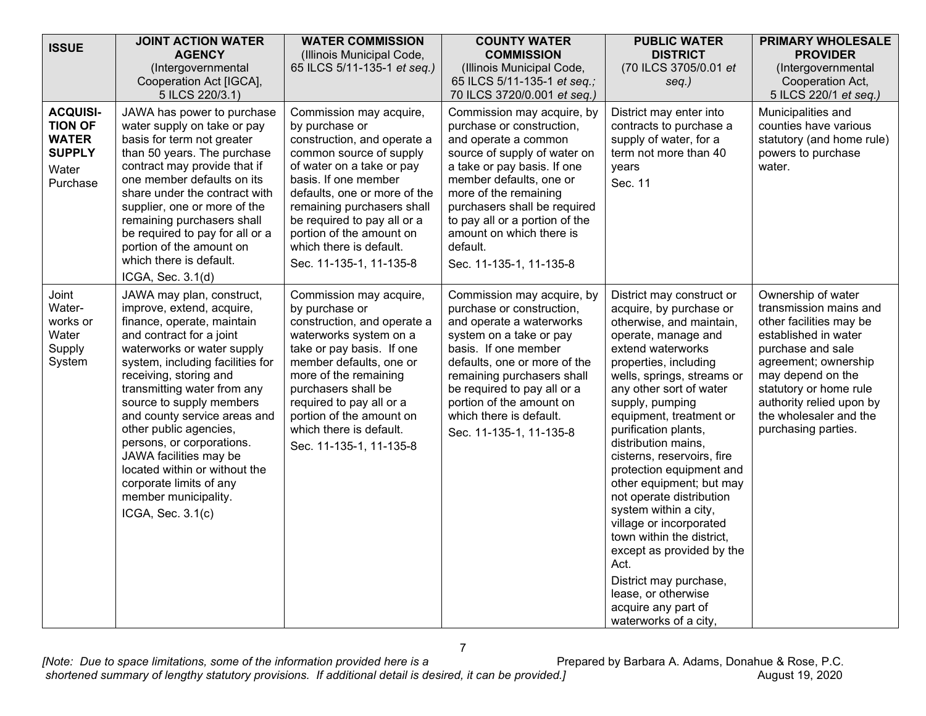| <b>ISSUE</b>                                                                            | <b>JOINT ACTION WATER</b>                                                                                                                                                                                                                                                                                                                                                                                                                                                                         | <b>WATER COMMISSION</b>                                                                                                                                                                                                                                                                                                                 | <b>COUNTY WATER</b>                                                                                                                                                                                                                                                                                                                     | <b>PUBLIC WATER</b>                                                                                                                                                                                                                                                                                                                                                                                                                                                                                                                                                                                                                                  | <b>PRIMARY WHOLESALE</b>                                                                                                                                                                                                                                                 |
|-----------------------------------------------------------------------------------------|---------------------------------------------------------------------------------------------------------------------------------------------------------------------------------------------------------------------------------------------------------------------------------------------------------------------------------------------------------------------------------------------------------------------------------------------------------------------------------------------------|-----------------------------------------------------------------------------------------------------------------------------------------------------------------------------------------------------------------------------------------------------------------------------------------------------------------------------------------|-----------------------------------------------------------------------------------------------------------------------------------------------------------------------------------------------------------------------------------------------------------------------------------------------------------------------------------------|------------------------------------------------------------------------------------------------------------------------------------------------------------------------------------------------------------------------------------------------------------------------------------------------------------------------------------------------------------------------------------------------------------------------------------------------------------------------------------------------------------------------------------------------------------------------------------------------------------------------------------------------------|--------------------------------------------------------------------------------------------------------------------------------------------------------------------------------------------------------------------------------------------------------------------------|
|                                                                                         | <b>AGENCY</b><br>(Intergovernmental                                                                                                                                                                                                                                                                                                                                                                                                                                                               | (Illinois Municipal Code,<br>65 ILCS 5/11-135-1 et seq.)                                                                                                                                                                                                                                                                                | <b>COMMISSION</b><br>(Illinois Municipal Code,                                                                                                                                                                                                                                                                                          | <b>DISTRICT</b><br>(70 ILCS 3705/0.01 et                                                                                                                                                                                                                                                                                                                                                                                                                                                                                                                                                                                                             | <b>PROVIDER</b><br>(Intergovernmental                                                                                                                                                                                                                                    |
|                                                                                         | Cooperation Act [IGCA],                                                                                                                                                                                                                                                                                                                                                                                                                                                                           |                                                                                                                                                                                                                                                                                                                                         | 65 ILCS 5/11-135-1 et seq.;                                                                                                                                                                                                                                                                                                             | seq.)                                                                                                                                                                                                                                                                                                                                                                                                                                                                                                                                                                                                                                                | Cooperation Act,                                                                                                                                                                                                                                                         |
|                                                                                         | 5 ILCS 220/3.1)                                                                                                                                                                                                                                                                                                                                                                                                                                                                                   |                                                                                                                                                                                                                                                                                                                                         | 70 ILCS 3720/0.001 et seq.)                                                                                                                                                                                                                                                                                                             |                                                                                                                                                                                                                                                                                                                                                                                                                                                                                                                                                                                                                                                      | 5 ILCS 220/1 et seq.)                                                                                                                                                                                                                                                    |
| <b>ACQUISI-</b><br><b>TION OF</b><br><b>WATER</b><br><b>SUPPLY</b><br>Water<br>Purchase | JAWA has power to purchase<br>water supply on take or pay<br>basis for term not greater<br>than 50 years. The purchase<br>contract may provide that if<br>one member defaults on its<br>share under the contract with<br>supplier, one or more of the<br>remaining purchasers shall<br>be required to pay for all or a<br>portion of the amount on<br>which there is default.<br>ICGA, Sec. 3.1(d)                                                                                                | Commission may acquire,<br>by purchase or<br>construction, and operate a<br>common source of supply<br>of water on a take or pay<br>basis. If one member<br>defaults, one or more of the<br>remaining purchasers shall<br>be required to pay all or a<br>portion of the amount on<br>which there is default.<br>Sec. 11-135-1, 11-135-8 | Commission may acquire, by<br>purchase or construction,<br>and operate a common<br>source of supply of water on<br>a take or pay basis. If one<br>member defaults, one or<br>more of the remaining<br>purchasers shall be required<br>to pay all or a portion of the<br>amount on which there is<br>default.<br>Sec. 11-135-1, 11-135-8 | District may enter into<br>contracts to purchase a<br>supply of water, for a<br>term not more than 40<br>years<br>Sec. 11                                                                                                                                                                                                                                                                                                                                                                                                                                                                                                                            | Municipalities and<br>counties have various<br>statutory (and home rule)<br>powers to purchase<br>water.                                                                                                                                                                 |
| Joint<br>Water-<br>works or<br>Water<br>Supply<br>System                                | JAWA may plan, construct,<br>improve, extend, acquire,<br>finance, operate, maintain<br>and contract for a joint<br>waterworks or water supply<br>system, including facilities for<br>receiving, storing and<br>transmitting water from any<br>source to supply members<br>and county service areas and<br>other public agencies,<br>persons, or corporations.<br>JAWA facilities may be<br>located within or without the<br>corporate limits of any<br>member municipality.<br>ICGA, Sec. 3.1(c) | Commission may acquire,<br>by purchase or<br>construction, and operate a<br>waterworks system on a<br>take or pay basis. If one<br>member defaults, one or<br>more of the remaining<br>purchasers shall be<br>required to pay all or a<br>portion of the amount on<br>which there is default.<br>Sec. 11-135-1, 11-135-8                | Commission may acquire, by<br>purchase or construction,<br>and operate a waterworks<br>system on a take or pay<br>basis. If one member<br>defaults, one or more of the<br>remaining purchasers shall<br>be required to pay all or a<br>portion of the amount on<br>which there is default.<br>Sec. 11-135-1, 11-135-8                   | District may construct or<br>acquire, by purchase or<br>otherwise, and maintain,<br>operate, manage and<br>extend waterworks<br>properties, including<br>wells, springs, streams or<br>any other sort of water<br>supply, pumping<br>equipment, treatment or<br>purification plants,<br>distribution mains,<br>cisterns, reservoirs, fire<br>protection equipment and<br>other equipment; but may<br>not operate distribution<br>system within a city,<br>village or incorporated<br>town within the district,<br>except as provided by the<br>Act.<br>District may purchase,<br>lease, or otherwise<br>acquire any part of<br>waterworks of a city, | Ownership of water<br>transmission mains and<br>other facilities may be<br>established in water<br>purchase and sale<br>agreement; ownership<br>may depend on the<br>statutory or home rule<br>authority relied upon by<br>the wholesaler and the<br>purchasing parties. |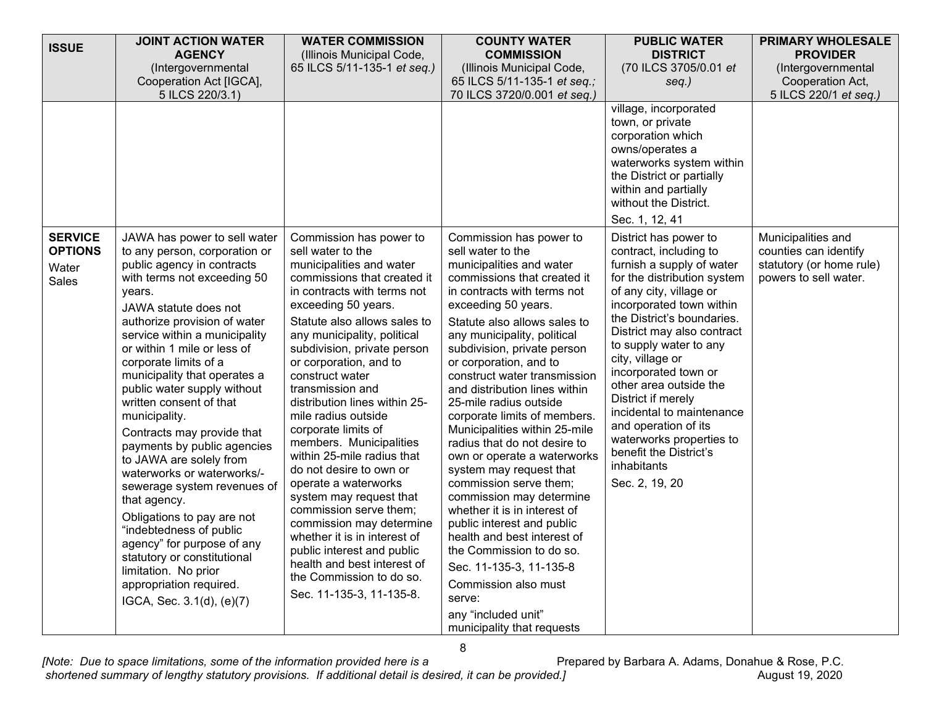| <b>ISSUE</b>                                       | <b>JOINT ACTION WATER</b>                                                                                                                                                                                                                                                                                                                                                                                                                                                                                                                                                                                                                                                                                                                                                    | <b>WATER COMMISSION</b>                                                                                                                                                                                                                                                                                                                                                                                                                                                                                                                                                                                                                                                                                                                                       | <b>COUNTY WATER</b>                                                                                                                                                                                                                                                                                                                                                                                                                                                                                                                                                                                                                                                                                                                                                                                                                          | <b>PUBLIC WATER</b>                                                                                                                                                                                                                                                                                                                                                                                                                                                                              | <b>PRIMARY WHOLESALE</b>                                                                         |
|----------------------------------------------------|------------------------------------------------------------------------------------------------------------------------------------------------------------------------------------------------------------------------------------------------------------------------------------------------------------------------------------------------------------------------------------------------------------------------------------------------------------------------------------------------------------------------------------------------------------------------------------------------------------------------------------------------------------------------------------------------------------------------------------------------------------------------------|---------------------------------------------------------------------------------------------------------------------------------------------------------------------------------------------------------------------------------------------------------------------------------------------------------------------------------------------------------------------------------------------------------------------------------------------------------------------------------------------------------------------------------------------------------------------------------------------------------------------------------------------------------------------------------------------------------------------------------------------------------------|----------------------------------------------------------------------------------------------------------------------------------------------------------------------------------------------------------------------------------------------------------------------------------------------------------------------------------------------------------------------------------------------------------------------------------------------------------------------------------------------------------------------------------------------------------------------------------------------------------------------------------------------------------------------------------------------------------------------------------------------------------------------------------------------------------------------------------------------|--------------------------------------------------------------------------------------------------------------------------------------------------------------------------------------------------------------------------------------------------------------------------------------------------------------------------------------------------------------------------------------------------------------------------------------------------------------------------------------------------|--------------------------------------------------------------------------------------------------|
|                                                    | <b>AGENCY</b>                                                                                                                                                                                                                                                                                                                                                                                                                                                                                                                                                                                                                                                                                                                                                                | (Illinois Municipal Code,                                                                                                                                                                                                                                                                                                                                                                                                                                                                                                                                                                                                                                                                                                                                     | <b>COMMISSION</b>                                                                                                                                                                                                                                                                                                                                                                                                                                                                                                                                                                                                                                                                                                                                                                                                                            | <b>DISTRICT</b>                                                                                                                                                                                                                                                                                                                                                                                                                                                                                  | <b>PROVIDER</b>                                                                                  |
|                                                    | (Intergovernmental                                                                                                                                                                                                                                                                                                                                                                                                                                                                                                                                                                                                                                                                                                                                                           | 65 ILCS 5/11-135-1 et seq.)                                                                                                                                                                                                                                                                                                                                                                                                                                                                                                                                                                                                                                                                                                                                   | (Illinois Municipal Code,                                                                                                                                                                                                                                                                                                                                                                                                                                                                                                                                                                                                                                                                                                                                                                                                                    | (70 ILCS 3705/0.01 et                                                                                                                                                                                                                                                                                                                                                                                                                                                                            | (Intergovernmental                                                                               |
|                                                    | Cooperation Act [IGCA],                                                                                                                                                                                                                                                                                                                                                                                                                                                                                                                                                                                                                                                                                                                                                      |                                                                                                                                                                                                                                                                                                                                                                                                                                                                                                                                                                                                                                                                                                                                                               | 65 ILCS 5/11-135-1 et seq.;                                                                                                                                                                                                                                                                                                                                                                                                                                                                                                                                                                                                                                                                                                                                                                                                                  | seq.)                                                                                                                                                                                                                                                                                                                                                                                                                                                                                            | Cooperation Act,                                                                                 |
|                                                    | 5 ILCS 220/3.1)                                                                                                                                                                                                                                                                                                                                                                                                                                                                                                                                                                                                                                                                                                                                                              |                                                                                                                                                                                                                                                                                                                                                                                                                                                                                                                                                                                                                                                                                                                                                               | 70 ILCS 3720/0.001 et seq.)                                                                                                                                                                                                                                                                                                                                                                                                                                                                                                                                                                                                                                                                                                                                                                                                                  |                                                                                                                                                                                                                                                                                                                                                                                                                                                                                                  | 5 ILCS 220/1 et seq.)                                                                            |
|                                                    |                                                                                                                                                                                                                                                                                                                                                                                                                                                                                                                                                                                                                                                                                                                                                                              |                                                                                                                                                                                                                                                                                                                                                                                                                                                                                                                                                                                                                                                                                                                                                               |                                                                                                                                                                                                                                                                                                                                                                                                                                                                                                                                                                                                                                                                                                                                                                                                                                              | village, incorporated<br>town, or private<br>corporation which<br>owns/operates a<br>waterworks system within<br>the District or partially<br>within and partially<br>without the District.<br>Sec. 1, 12, 41                                                                                                                                                                                                                                                                                    |                                                                                                  |
| <b>SERVICE</b><br><b>OPTIONS</b><br>Water<br>Sales | JAWA has power to sell water<br>to any person, corporation or<br>public agency in contracts<br>with terms not exceeding 50<br>years.<br>JAWA statute does not<br>authorize provision of water<br>service within a municipality<br>or within 1 mile or less of<br>corporate limits of a<br>municipality that operates a<br>public water supply without<br>written consent of that<br>municipality.<br>Contracts may provide that<br>payments by public agencies<br>to JAWA are solely from<br>waterworks or waterworks/-<br>sewerage system revenues of<br>that agency.<br>Obligations to pay are not<br>"indebtedness of public<br>agency" for purpose of any<br>statutory or constitutional<br>limitation. No prior<br>appropriation required.<br>IGCA, Sec. 3.1(d), (e)(7) | Commission has power to<br>sell water to the<br>municipalities and water<br>commissions that created it<br>in contracts with terms not<br>exceeding 50 years.<br>Statute also allows sales to<br>any municipality, political<br>subdivision, private person<br>or corporation, and to<br>construct water<br>transmission and<br>distribution lines within 25-<br>mile radius outside<br>corporate limits of<br>members. Municipalities<br>within 25-mile radius that<br>do not desire to own or<br>operate a waterworks<br>system may request that<br>commission serve them;<br>commission may determine<br>whether it is in interest of<br>public interest and public<br>health and best interest of<br>the Commission to do so.<br>Sec. 11-135-3, 11-135-8. | Commission has power to<br>sell water to the<br>municipalities and water<br>commissions that created it<br>in contracts with terms not<br>exceeding 50 years.<br>Statute also allows sales to<br>any municipality, political<br>subdivision, private person<br>or corporation, and to<br>construct water transmission<br>and distribution lines within<br>25-mile radius outside<br>corporate limits of members.<br>Municipalities within 25-mile<br>radius that do not desire to<br>own or operate a waterworks<br>system may request that<br>commission serve them;<br>commission may determine<br>whether it is in interest of<br>public interest and public<br>health and best interest of<br>the Commission to do so.<br>Sec. 11-135-3, 11-135-8<br>Commission also must<br>serve:<br>any "included unit"<br>municipality that requests | District has power to<br>contract, including to<br>furnish a supply of water<br>for the distribution system<br>of any city, village or<br>incorporated town within<br>the District's boundaries.<br>District may also contract<br>to supply water to any<br>city, village or<br>incorporated town or<br>other area outside the<br>District if merely<br>incidental to maintenance<br>and operation of its<br>waterworks properties to<br>benefit the District's<br>inhabitants<br>Sec. 2, 19, 20 | Municipalities and<br>counties can identify<br>statutory (or home rule)<br>powers to sell water. |

8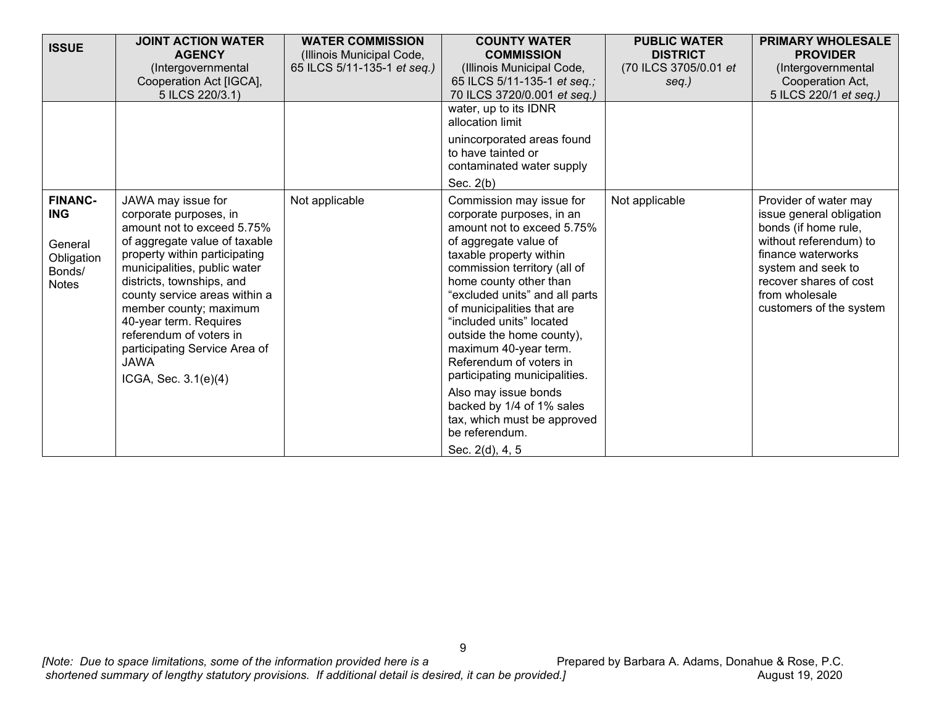| <b>ISSUE</b>                                    | <b>JOINT ACTION WATER</b>                                                                                                                                                                                                                                                                                           | <b>WATER COMMISSION</b>     | <b>COUNTY WATER</b>                                                                                                                                                                                                                                                                                                      | <b>PUBLIC WATER</b>   | <b>PRIMARY WHOLESALE</b>                                                                                                                  |
|-------------------------------------------------|---------------------------------------------------------------------------------------------------------------------------------------------------------------------------------------------------------------------------------------------------------------------------------------------------------------------|-----------------------------|--------------------------------------------------------------------------------------------------------------------------------------------------------------------------------------------------------------------------------------------------------------------------------------------------------------------------|-----------------------|-------------------------------------------------------------------------------------------------------------------------------------------|
|                                                 | <b>AGENCY</b>                                                                                                                                                                                                                                                                                                       | (Illinois Municipal Code,   | <b>COMMISSION</b>                                                                                                                                                                                                                                                                                                        | <b>DISTRICT</b>       | <b>PROVIDER</b>                                                                                                                           |
|                                                 | (Intergovernmental                                                                                                                                                                                                                                                                                                  | 65 ILCS 5/11-135-1 et seq.) | (Illinois Municipal Code,                                                                                                                                                                                                                                                                                                | (70 ILCS 3705/0.01 et | (Intergovernmental                                                                                                                        |
|                                                 | Cooperation Act [IGCA],                                                                                                                                                                                                                                                                                             |                             | 65 ILCS 5/11-135-1 et seq.;                                                                                                                                                                                                                                                                                              | seq.)                 | Cooperation Act,                                                                                                                          |
|                                                 | 5 ILCS 220/3.1)                                                                                                                                                                                                                                                                                                     |                             | 70 ILCS 3720/0.001 et seq.)                                                                                                                                                                                                                                                                                              |                       | 5 ILCS 220/1 et seq.)                                                                                                                     |
|                                                 |                                                                                                                                                                                                                                                                                                                     |                             | water, up to its IDNR<br>allocation limit                                                                                                                                                                                                                                                                                |                       |                                                                                                                                           |
|                                                 |                                                                                                                                                                                                                                                                                                                     |                             | unincorporated areas found<br>to have tainted or<br>contaminated water supply<br>Sec. $2(b)$                                                                                                                                                                                                                             |                       |                                                                                                                                           |
| <b>FINANC-</b><br><b>ING</b>                    | JAWA may issue for<br>corporate purposes, in<br>amount not to exceed 5.75%                                                                                                                                                                                                                                          | Not applicable              | Commission may issue for<br>corporate purposes, in an<br>amount not to exceed 5.75%                                                                                                                                                                                                                                      | Not applicable        | Provider of water may<br>issue general obligation<br>bonds (if home rule,                                                                 |
| General<br>Obligation<br>Bonds/<br><b>Notes</b> | of aggregate value of taxable<br>property within participating<br>municipalities, public water<br>districts, townships, and<br>county service areas within a<br>member county; maximum<br>40-year term. Requires<br>referendum of voters in<br>participating Service Area of<br><b>JAWA</b><br>ICGA, Sec. 3.1(e)(4) |                             | of aggregate value of<br>taxable property within<br>commission territory (all of<br>home county other than<br>"excluded units" and all parts<br>of municipalities that are<br>"included units" located<br>outside the home county),<br>maximum 40-year term.<br>Referendum of voters in<br>participating municipalities. |                       | without referendum) to<br>finance waterworks<br>system and seek to<br>recover shares of cost<br>from wholesale<br>customers of the system |
|                                                 |                                                                                                                                                                                                                                                                                                                     |                             | Also may issue bonds<br>backed by 1/4 of 1% sales<br>tax, which must be approved<br>be referendum.<br>Sec. 2(d), 4, 5                                                                                                                                                                                                    |                       |                                                                                                                                           |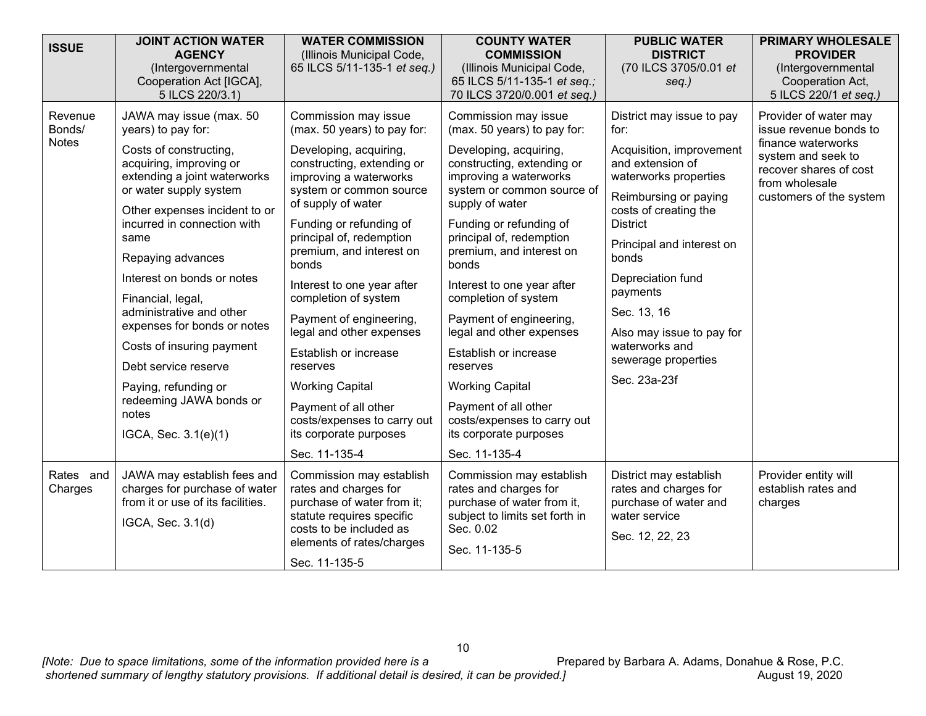| <b>ISSUE</b>                      | <b>JOINT ACTION WATER</b><br><b>AGENCY</b><br>(Intergovernmental<br>Cooperation Act [IGCA],<br>5 ILCS 220/3.1)                                                                                                                                                                                                                                                                                                                                                                                                   | <b>WATER COMMISSION</b><br>(Illinois Municipal Code,<br>65 ILCS 5/11-135-1 et seq.)                                                                                                                                                                                                                                                                                                                                                                                                                                                                              | <b>COUNTY WATER</b><br><b>COMMISSION</b><br>(Illinois Municipal Code,<br>65 ILCS 5/11-135-1 et seq.;<br>70 ILCS 3720/0.001 et seq.)                                                                                                                                                                                                                                                                                                                                                                                                                              | <b>PUBLIC WATER</b><br><b>DISTRICT</b><br>(70 ILCS 3705/0.01 et<br>$seq.$ )                                                                                                                                                                                                                                                                                 | <b>PRIMARY WHOLESALE</b><br><b>PROVIDER</b><br>(Intergovernmental<br>Cooperation Act,<br>5 ILCS 220/1 et seq.)                                                     |
|-----------------------------------|------------------------------------------------------------------------------------------------------------------------------------------------------------------------------------------------------------------------------------------------------------------------------------------------------------------------------------------------------------------------------------------------------------------------------------------------------------------------------------------------------------------|------------------------------------------------------------------------------------------------------------------------------------------------------------------------------------------------------------------------------------------------------------------------------------------------------------------------------------------------------------------------------------------------------------------------------------------------------------------------------------------------------------------------------------------------------------------|------------------------------------------------------------------------------------------------------------------------------------------------------------------------------------------------------------------------------------------------------------------------------------------------------------------------------------------------------------------------------------------------------------------------------------------------------------------------------------------------------------------------------------------------------------------|-------------------------------------------------------------------------------------------------------------------------------------------------------------------------------------------------------------------------------------------------------------------------------------------------------------------------------------------------------------|--------------------------------------------------------------------------------------------------------------------------------------------------------------------|
| Revenue<br>Bonds/<br><b>Notes</b> | JAWA may issue (max. 50<br>years) to pay for:<br>Costs of constructing,<br>acquiring, improving or<br>extending a joint waterworks<br>or water supply system<br>Other expenses incident to or<br>incurred in connection with<br>same<br>Repaying advances<br>Interest on bonds or notes<br>Financial, legal,<br>administrative and other<br>expenses for bonds or notes<br>Costs of insuring payment<br>Debt service reserve<br>Paying, refunding or<br>redeeming JAWA bonds or<br>notes<br>IGCA, Sec. 3.1(e)(1) | Commission may issue<br>(max. 50 years) to pay for:<br>Developing, acquiring,<br>constructing, extending or<br>improving a waterworks<br>system or common source<br>of supply of water<br>Funding or refunding of<br>principal of, redemption<br>premium, and interest on<br>bonds<br>Interest to one year after<br>completion of system<br>Payment of engineering,<br>legal and other expenses<br>Establish or increase<br>reserves<br><b>Working Capital</b><br>Payment of all other<br>costs/expenses to carry out<br>its corporate purposes<br>Sec. 11-135-4 | Commission may issue<br>(max. 50 years) to pay for:<br>Developing, acquiring,<br>constructing, extending or<br>improving a waterworks<br>system or common source of<br>supply of water<br>Funding or refunding of<br>principal of, redemption<br>premium, and interest on<br>bonds<br>Interest to one year after<br>completion of system<br>Payment of engineering,<br>legal and other expenses<br>Establish or increase<br>reserves<br><b>Working Capital</b><br>Payment of all other<br>costs/expenses to carry out<br>its corporate purposes<br>Sec. 11-135-4 | District may issue to pay<br>for:<br>Acquisition, improvement<br>and extension of<br>waterworks properties<br>Reimbursing or paying<br>costs of creating the<br><b>District</b><br>Principal and interest on<br>bonds<br>Depreciation fund<br>payments<br>Sec. 13, 16<br>Also may issue to pay for<br>waterworks and<br>sewerage properties<br>Sec. 23a-23f | Provider of water may<br>issue revenue bonds to<br>finance waterworks<br>system and seek to<br>recover shares of cost<br>from wholesale<br>customers of the system |
| Rates and<br>Charges              | JAWA may establish fees and<br>charges for purchase of water<br>from it or use of its facilities.<br>IGCA, Sec. 3.1(d)                                                                                                                                                                                                                                                                                                                                                                                           | Commission may establish<br>rates and charges for<br>purchase of water from it;<br>statute requires specific<br>costs to be included as<br>elements of rates/charges<br>Sec. 11-135-5                                                                                                                                                                                                                                                                                                                                                                            | Commission may establish<br>rates and charges for<br>purchase of water from it,<br>subject to limits set forth in<br>Sec. 0.02<br>Sec. 11-135-5                                                                                                                                                                                                                                                                                                                                                                                                                  | District may establish<br>rates and charges for<br>purchase of water and<br>water service<br>Sec. 12, 22, 23                                                                                                                                                                                                                                                | Provider entity will<br>establish rates and<br>charges                                                                                                             |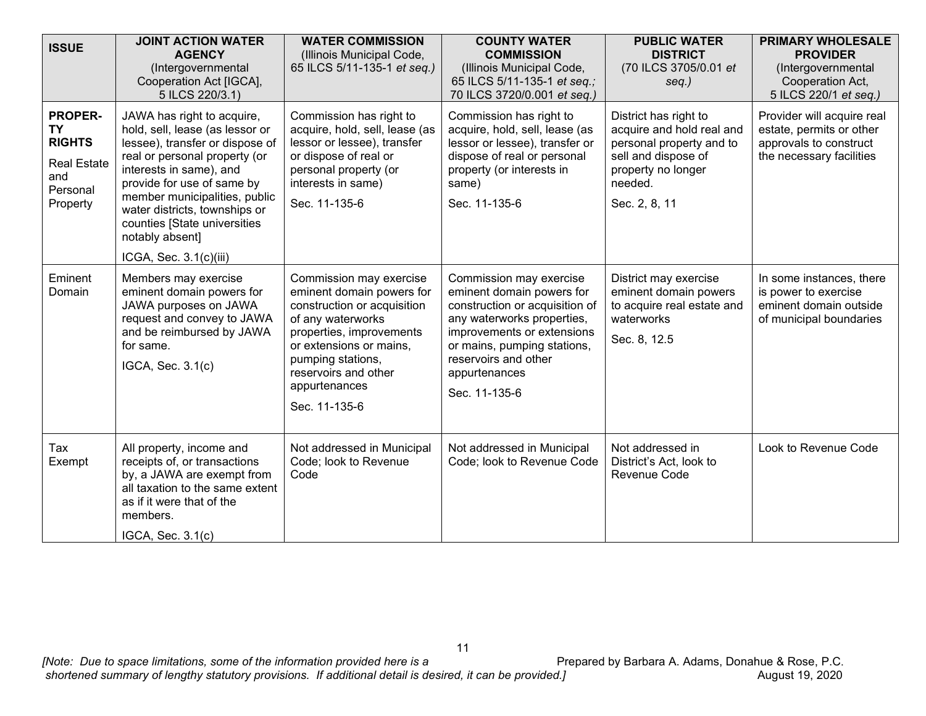| <b>ISSUE</b>                                                                                      | <b>JOINT ACTION WATER</b><br><b>AGENCY</b><br>(Intergovernmental<br>Cooperation Act [IGCA],<br>5 ILCS 220/3.1)                                                                                                                                                                                                                              | <b>WATER COMMISSION</b><br>(Illinois Municipal Code,<br>65 ILCS 5/11-135-1 et seq.)                                                                                                                                                            | <b>COUNTY WATER</b><br><b>COMMISSION</b><br>(Illinois Municipal Code,<br>65 ILCS 5/11-135-1 et seq.;<br>70 ILCS 3720/0.001 et seq.)                                                                                                         | <b>PUBLIC WATER</b><br><b>DISTRICT</b><br>(70 ILCS 3705/0.01 et<br>$seq.$ )                                                                             | <b>PRIMARY WHOLESALE</b><br><b>PROVIDER</b><br>(Intergovernmental<br>Cooperation Act,<br>5 ILCS 220/1 et seq.) |
|---------------------------------------------------------------------------------------------------|---------------------------------------------------------------------------------------------------------------------------------------------------------------------------------------------------------------------------------------------------------------------------------------------------------------------------------------------|------------------------------------------------------------------------------------------------------------------------------------------------------------------------------------------------------------------------------------------------|---------------------------------------------------------------------------------------------------------------------------------------------------------------------------------------------------------------------------------------------|---------------------------------------------------------------------------------------------------------------------------------------------------------|----------------------------------------------------------------------------------------------------------------|
| <b>PROPER-</b><br><b>TY</b><br><b>RIGHTS</b><br><b>Real Estate</b><br>and<br>Personal<br>Property | JAWA has right to acquire,<br>hold, sell, lease (as lessor or<br>lessee), transfer or dispose of<br>real or personal property (or<br>interests in same), and<br>provide for use of same by<br>member municipalities, public<br>water districts, townships or<br>counties [State universities<br>notably absent]<br>ICGA, Sec. $3.1(c)(iii)$ | Commission has right to<br>acquire, hold, sell, lease (as<br>lessor or lessee), transfer<br>or dispose of real or<br>personal property (or<br>interests in same)<br>Sec. 11-135-6                                                              | Commission has right to<br>acquire, hold, sell, lease (as<br>lessor or lessee), transfer or<br>dispose of real or personal<br>property (or interests in<br>same)<br>Sec. 11-135-6                                                           | District has right to<br>acquire and hold real and<br>personal property and to<br>sell and dispose of<br>property no longer<br>needed.<br>Sec. 2, 8, 11 | Provider will acquire real<br>estate, permits or other<br>approvals to construct<br>the necessary facilities   |
| Eminent<br>Domain                                                                                 | Members may exercise<br>eminent domain powers for<br>JAWA purposes on JAWA<br>request and convey to JAWA<br>and be reimbursed by JAWA<br>for same.<br>IGCA, Sec. 3.1(c)                                                                                                                                                                     | Commission may exercise<br>eminent domain powers for<br>construction or acquisition<br>of any waterworks<br>properties, improvements<br>or extensions or mains,<br>pumping stations,<br>reservoirs and other<br>appurtenances<br>Sec. 11-135-6 | Commission may exercise<br>eminent domain powers for<br>construction or acquisition of<br>any waterworks properties,<br>improvements or extensions<br>or mains, pumping stations,<br>reservoirs and other<br>appurtenances<br>Sec. 11-135-6 | District may exercise<br>eminent domain powers<br>to acquire real estate and<br>waterworks<br>Sec. 8, 12.5                                              | In some instances, there<br>is power to exercise<br>eminent domain outside<br>of municipal boundaries          |
| Tax<br>Exempt                                                                                     | All property, income and<br>receipts of, or transactions<br>by, a JAWA are exempt from<br>all taxation to the same extent<br>as if it were that of the<br>members.<br>IGCA, Sec. 3.1(c)                                                                                                                                                     | Not addressed in Municipal<br>Code; look to Revenue<br>Code                                                                                                                                                                                    | Not addressed in Municipal<br>Code; look to Revenue Code                                                                                                                                                                                    | Not addressed in<br>District's Act, look to<br>Revenue Code                                                                                             | Look to Revenue Code                                                                                           |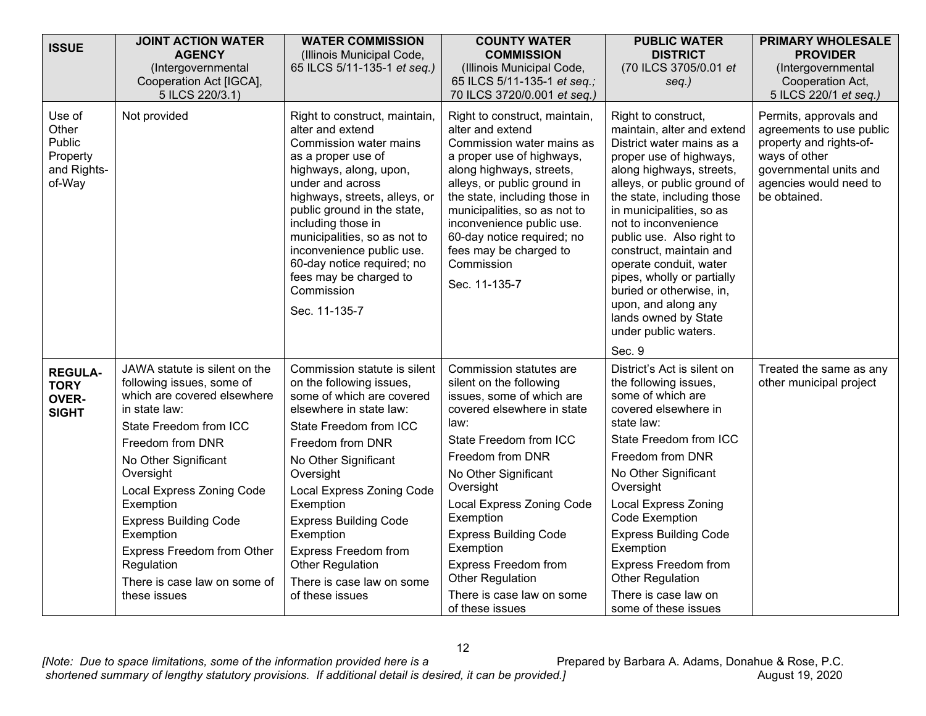| <b>ISSUE</b>                                                   | <b>JOINT ACTION WATER</b><br><b>AGENCY</b><br>(Intergovernmental<br>Cooperation Act [IGCA],<br>5 ILCS 220/3.1)                                                                                                                                                                                                                                                                   | <b>WATER COMMISSION</b><br>(Illinois Municipal Code,<br>65 ILCS 5/11-135-1 et seq.)                                                                                                                                                                                                                                                                                                           | <b>COUNTY WATER</b><br><b>COMMISSION</b><br>(Illinois Municipal Code,<br>65 ILCS 5/11-135-1 et seq.;<br>70 ILCS 3720/0.001 et seq.)                                                                                                                                                                                                                                                                | <b>PUBLIC WATER</b><br><b>DISTRICT</b><br>(70 ILCS 3705/0.01 et<br>seq.)                                                                                                                                                                                                                                                                                                                                                                                                            | PRIMARY WHOLESALE<br><b>PROVIDER</b><br>(Intergovernmental<br>Cooperation Act,<br>5 ILCS 220/1 et seq.)                                                            |
|----------------------------------------------------------------|----------------------------------------------------------------------------------------------------------------------------------------------------------------------------------------------------------------------------------------------------------------------------------------------------------------------------------------------------------------------------------|-----------------------------------------------------------------------------------------------------------------------------------------------------------------------------------------------------------------------------------------------------------------------------------------------------------------------------------------------------------------------------------------------|----------------------------------------------------------------------------------------------------------------------------------------------------------------------------------------------------------------------------------------------------------------------------------------------------------------------------------------------------------------------------------------------------|-------------------------------------------------------------------------------------------------------------------------------------------------------------------------------------------------------------------------------------------------------------------------------------------------------------------------------------------------------------------------------------------------------------------------------------------------------------------------------------|--------------------------------------------------------------------------------------------------------------------------------------------------------------------|
| Use of<br>Other<br>Public<br>Property<br>and Rights-<br>of-Way | Not provided                                                                                                                                                                                                                                                                                                                                                                     | Right to construct, maintain,<br>alter and extend<br>Commission water mains<br>as a proper use of<br>highways, along, upon,<br>under and across<br>highways, streets, alleys, or<br>public ground in the state,<br>including those in<br>municipalities, so as not to<br>inconvenience public use.<br>60-day notice required; no<br>fees may be charged to<br>Commission<br>Sec. 11-135-7     | Right to construct, maintain,<br>alter and extend<br>Commission water mains as<br>a proper use of highways,<br>along highways, streets,<br>alleys, or public ground in<br>the state, including those in<br>municipalities, so as not to<br>inconvenience public use.<br>60-day notice required; no<br>fees may be charged to<br>Commission<br>Sec. 11-135-7                                        | Right to construct,<br>maintain, alter and extend<br>District water mains as a<br>proper use of highways,<br>along highways, streets,<br>alleys, or public ground of<br>the state, including those<br>in municipalities, so as<br>not to inconvenience<br>public use. Also right to<br>construct, maintain and<br>operate conduit, water<br>pipes, wholly or partially<br>buried or otherwise, in,<br>upon, and along any<br>lands owned by State<br>under public waters.<br>Sec. 9 | Permits, approvals and<br>agreements to use public<br>property and rights-of-<br>ways of other<br>governmental units and<br>agencies would need to<br>be obtained. |
| <b>REGULA-</b><br><b>TORY</b><br><b>OVER-</b><br><b>SIGHT</b>  | JAWA statute is silent on the<br>following issues, some of<br>which are covered elsewhere<br>in state law:<br>State Freedom from ICC<br>Freedom from DNR<br>No Other Significant<br>Oversight<br>Local Express Zoning Code<br>Exemption<br><b>Express Building Code</b><br>Exemption<br>Express Freedom from Other<br>Regulation<br>There is case law on some of<br>these issues | Commission statute is silent<br>on the following issues,<br>some of which are covered<br>elsewhere in state law:<br>State Freedom from ICC<br>Freedom from DNR<br>No Other Significant<br>Oversight<br>Local Express Zoning Code<br>Exemption<br><b>Express Building Code</b><br>Exemption<br><b>Express Freedom from</b><br>Other Regulation<br>There is case law on some<br>of these issues | Commission statutes are<br>silent on the following<br>issues, some of which are<br>covered elsewhere in state<br>law:<br>State Freedom from ICC<br>Freedom from DNR<br>No Other Significant<br>Oversight<br>Local Express Zoning Code<br>Exemption<br><b>Express Building Code</b><br>Exemption<br>Express Freedom from<br><b>Other Regulation</b><br>There is case law on some<br>of these issues | District's Act is silent on<br>the following issues,<br>some of which are<br>covered elsewhere in<br>state law:<br>State Freedom from ICC<br>Freedom from DNR<br>No Other Significant<br>Oversight<br><b>Local Express Zoning</b><br>Code Exemption<br><b>Express Building Code</b><br>Exemption<br><b>Express Freedom from</b><br><b>Other Regulation</b><br>There is case law on<br>some of these issues                                                                          | Treated the same as any<br>other municipal project                                                                                                                 |